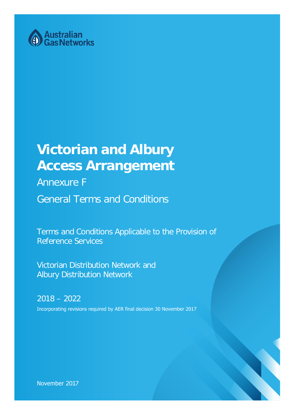

# **Victorian and Albury Access Arrangement**

Annexure F

General Terms and Conditions

Terms and Conditions Applicable to the Provision of Reference Services

Victorian Distribution Network and Albury Distribution Network

2018 – 2022 Incorporating revisions required by AER final decision 30 November 2017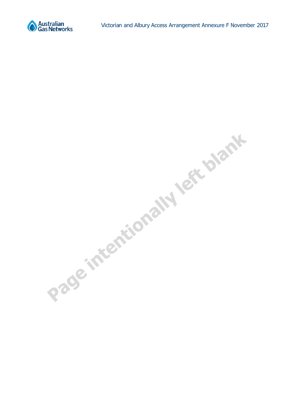

Page intentionally left blank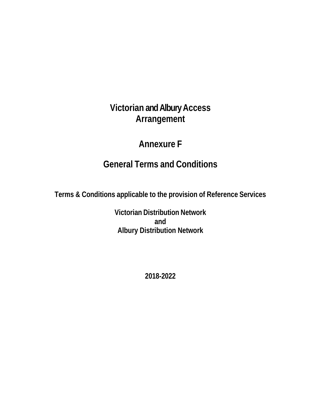## **Victorian and Albury Access Arrangement**

## **Annexure F**

## **General Terms and Conditions**

**Terms & Conditions applicable to the provision of Reference Services**

**Victorian Distribution Network and Albury Distribution Network**

**2018-2022**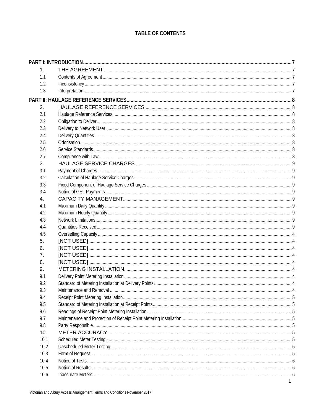## **TABLE OF CONTENTS**

| 1.   |  |
|------|--|
| 1.1  |  |
| 1.2  |  |
| 1.3  |  |
|      |  |
| 2.   |  |
| 2.1  |  |
| 2.2  |  |
| 2.3  |  |
| 2.4  |  |
| 2.5  |  |
| 2.6  |  |
| 2.7  |  |
| 3.   |  |
| 3.1  |  |
| 3.2  |  |
| 3.3  |  |
| 3.4  |  |
| 4.   |  |
| 4.1  |  |
| 4.2  |  |
| 4.3  |  |
| 4.4  |  |
| 4.5  |  |
| 5.   |  |
| 6.   |  |
| 7.   |  |
| 8.   |  |
| 9.   |  |
| 9.1  |  |
| 9.2  |  |
| 9.3  |  |
| 9.4  |  |
| 9.5  |  |
| 9.6  |  |
| 9.7  |  |
| 9.8  |  |
| 10.  |  |
| 10.1 |  |
| 10.2 |  |
| 10.3 |  |
| 10.4 |  |
| 10.5 |  |
| 10.6 |  |
|      |  |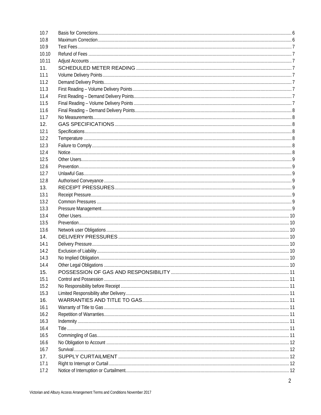| 10.7  |  |
|-------|--|
| 10.8  |  |
| 10.9  |  |
| 10.10 |  |
| 10.11 |  |
| 11.   |  |
| 11.1  |  |
| 11.2  |  |
| 11.3  |  |
| 11.4  |  |
| 11.5  |  |
| 11.6  |  |
| 11.7  |  |
| 12.   |  |
| 12.1  |  |
| 12.2  |  |
| 12.3  |  |
| 12.4  |  |
| 12.5  |  |
| 12.6  |  |
| 12.7  |  |
| 12.8  |  |
| 13.   |  |
| 13.1  |  |
| 13.2  |  |
| 13.3  |  |
| 13.4  |  |
| 13.5  |  |
| 13.6  |  |
| 14.   |  |
| 14.1  |  |
| 14.2  |  |
| 14.3  |  |
| 14.4  |  |
| 15.   |  |
| 15.1  |  |
| 15.2  |  |
| 15.3  |  |
| 16.   |  |
| 16.1  |  |
| 16.2  |  |
| 16.3  |  |
| 16.4  |  |
| 16.5  |  |
| 16.6  |  |
| 16.7  |  |
| 17.   |  |
| 17.1  |  |
| 17.2  |  |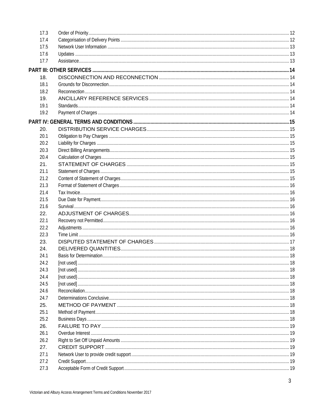| 17.3 |  |
|------|--|
| 17.4 |  |
| 17.5 |  |
| 17.6 |  |
| 17.7 |  |
|      |  |
| 18.  |  |
| 18.1 |  |
| 18.2 |  |
| 19.  |  |
| 19.1 |  |
| 19.2 |  |
|      |  |
| 20.  |  |
| 20.1 |  |
| 20.2 |  |
| 20.3 |  |
| 20.4 |  |
| 21.  |  |
| 21.1 |  |
| 21.2 |  |
| 21.3 |  |
| 21.4 |  |
| 21.5 |  |
| 21.6 |  |
| 22.  |  |
| 22.1 |  |
| 22.2 |  |
| 22.3 |  |
| 23.  |  |
| 24.  |  |
| 24.1 |  |
| 24.2 |  |
| 24.3 |  |
| 24.4 |  |
| 24.5 |  |
| 24.6 |  |
| 24.7 |  |
| 25.  |  |
| 25.1 |  |
| 25.2 |  |
| 26.  |  |
| 26.1 |  |
| 26.2 |  |
| 27.  |  |
| 27.1 |  |
| 27.2 |  |
| 27.3 |  |
|      |  |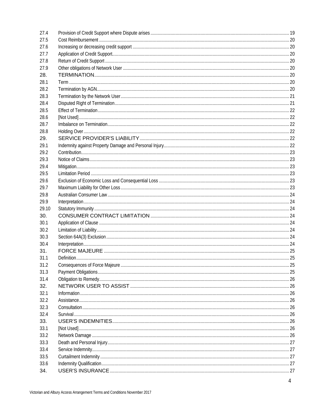| 27.4  |  |
|-------|--|
| 27.5  |  |
| 27.6  |  |
| 27.7  |  |
| 27.8  |  |
| 27.9  |  |
| 28.   |  |
| 28.1  |  |
| 28.2  |  |
| 28.3  |  |
| 28.4  |  |
| 28.5  |  |
| 28.6  |  |
| 28.7  |  |
| 28.8  |  |
| 29.   |  |
| 29.1  |  |
| 29.2  |  |
| 29.3  |  |
| 29.4  |  |
| 29.5  |  |
| 29.6  |  |
| 29.7  |  |
| 29.8  |  |
| 29.9  |  |
| 29.10 |  |
| 30.   |  |
| 30.1  |  |
| 30.2  |  |
| 30.3  |  |
| 30.4  |  |
| 31.   |  |
| 31.1  |  |
| 31.2  |  |
| 31.3  |  |
| 31.4  |  |
| 32.   |  |
| 32.1  |  |
| 32.2  |  |
| 32.3  |  |
| 32.4  |  |
| 33.   |  |
| 33.1  |  |
| 33.2  |  |
| 33.3  |  |
| 33.4  |  |
| 33.5  |  |
| 33.6  |  |
| 34.   |  |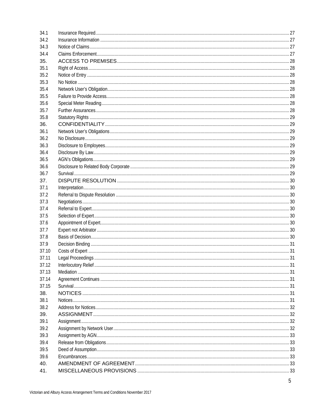| 34.1  |  |
|-------|--|
| 34.2  |  |
| 34.3  |  |
| 34.4  |  |
| 35.   |  |
| 35.1  |  |
| 35.2  |  |
| 35.3  |  |
| 35.4  |  |
| 35.5  |  |
| 35.6  |  |
| 35.7  |  |
| 35.8  |  |
| 36.   |  |
| 36.1  |  |
| 36.2  |  |
| 36.3  |  |
| 36.4  |  |
| 36.5  |  |
| 36.6  |  |
| 36.7  |  |
| 37.   |  |
| 37.1  |  |
| 37.2  |  |
| 37.3  |  |
| 37.4  |  |
| 37.5  |  |
| 37.6  |  |
| 37.7  |  |
| 37.8  |  |
| 37.9  |  |
| 37.10 |  |
| 37.11 |  |
| 37.12 |  |
| 37.13 |  |
| 37.14 |  |
| 37.15 |  |
| 38.   |  |
| 38.1  |  |
| 38.2  |  |
| 39.   |  |
| 39.1  |  |
| 39.2  |  |
| 39.3  |  |
| 39.4  |  |
| 39.5  |  |
| 39.6  |  |
| 40.   |  |
| 41.   |  |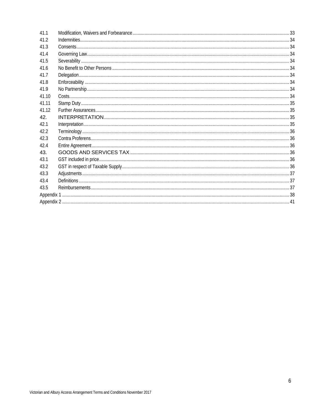| 41.1  |  |
|-------|--|
| 41.2  |  |
| 41.3  |  |
| 41.4  |  |
| 41.5  |  |
| 41.6  |  |
| 41.7  |  |
| 41.8  |  |
| 41.9  |  |
| 41.10 |  |
| 41.11 |  |
| 41.12 |  |
| 42.   |  |
| 42.1  |  |
| 42.2  |  |
| 42.3  |  |
| 42.4  |  |
| 43.   |  |
| 43.1  |  |
| 43.2  |  |
| 43.3  |  |
| 43.4  |  |
| 43.5  |  |
|       |  |
|       |  |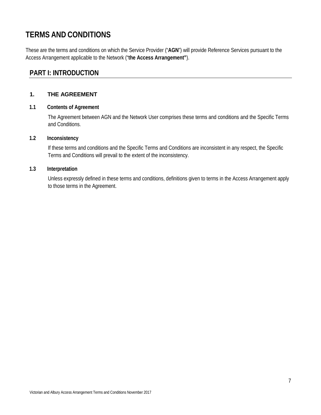## **TERMS AND CONDITIONS**

These are the terms and conditions on which the Service Provider ("**AGN**") will provide Reference Services pursuant to the Access Arrangement applicable to the Network ("**the Access Arrangement"**).

## <span id="page-9-1"></span><span id="page-9-0"></span>**PART I: INTRODUCTION**

## <span id="page-9-2"></span>**1. THE AGREEMENT**

## **1.1 Contents of Agreement**

The Agreement between AGN and the Network User comprises these terms and conditions and the Specific Terms and Conditions.

## <span id="page-9-3"></span>**1.2 Inconsistency**

If these terms and conditions and the Specific Terms and Conditions are inconsistent in any respect, the Specific Terms and Conditions will prevail to the extent of the inconsistency.

## <span id="page-9-4"></span>**1.3 Interpretation**

Unless expressly defined in these terms and conditions, definitions given to terms in the Access Arrangement apply to those terms in the Agreement.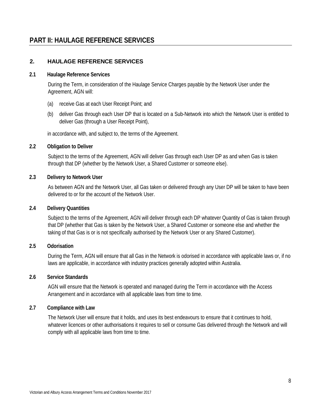## <span id="page-10-1"></span><span id="page-10-0"></span>**PART II: HAULAGE REFERENCE SERVICES**

## <span id="page-10-2"></span>**2. HAULAGE REFERENCE SERVICES**

#### **2.1 Haulage Reference Services**

During the Term, in consideration of the Haulage Service Charges payable by the Network User under the Agreement, AGN will:

- (a) receive Gas at each User Receipt Point; and
- (b) deliver Gas through each User DP that is located on a Sub-Network into which the Network User is entitled to deliver Gas (through a User Receipt Point),

in accordance with, and subject to, the terms of the Agreement.

#### <span id="page-10-3"></span>**2.2 Obligation to Deliver**

Subject to the terms of the Agreement, AGN will deliver Gas through each User DP as and when Gas is taken through that DP (whether by the Network User, a Shared Customer or someone else).

## <span id="page-10-4"></span>**2.3 Delivery to Network User**

As between AGN and the Network User, all Gas taken or delivered through any User DP will be taken to have been delivered to or for the account of the Network User.

#### <span id="page-10-5"></span>**2.4 Delivery Quantities**

Subject to the terms of the Agreement, AGN will deliver through each DP whatever Quantity of Gas is taken through that DP (whether that Gas is taken by the Network User, a Shared Customer or someone else and whether the taking of that Gas is or is not specifically authorised by the Network User or any Shared Customer).

## <span id="page-10-6"></span>**2.5 Odorisation**

During the Term, AGN will ensure that all Gas in the Network is odorised in accordance with applicable laws or, if no laws are applicable, in accordance with industry practices generally adopted within Australia.

#### <span id="page-10-7"></span>**2.6 Service Standards**

AGN will ensure that the Network is operated and managed during the Term in accordance with the Access Arrangement and in accordance with all applicable laws from time to time.

#### <span id="page-10-8"></span>**2.7 Compliance with Law**

The Network User will ensure that it holds, and uses its best endeavours to ensure that it continues to hold, whatever licences or other authorisations it requires to sell or consume Gas delivered through the Network and will comply with all applicable laws from time to time.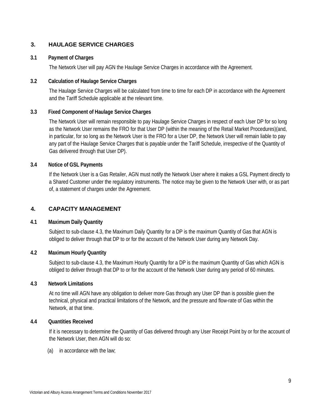## <span id="page-11-0"></span>**3. HAULAGE SERVICE CHARGES**

## <span id="page-11-1"></span>**3.1 Payment of Charges**

The Network User will pay AGN the Haulage Service Charges in accordance with the Agreement.

## <span id="page-11-2"></span>**3.2 Calculation of Haulage Service Charges**

The Haulage Service Charges will be calculated from time to time for each DP in accordance with the Agreement and the Tariff Schedule applicable at the relevant time.

## <span id="page-11-3"></span>**3.3 Fixed Component of Haulage Service Charges**

The Network User will remain responsible to pay Haulage Service Charges in respect of each User DP for so long as the Network User remains the FRO for that User DP (within the meaning of the Retail Market Procedures)(and, in particular, for so long as the Network User is the FRO for a User DP, the Network User will remain liable to pay any part of the Haulage Service Charges that is payable under the Tariff Schedule, irrespective of the Quantity of Gas delivered through that User DP).

## <span id="page-11-4"></span>**3.4 Notice of GSL Payments**

If the Network User is a Gas Retailer, AGN must notify the Network User where it makes a GSL Payment directly to a Shared Customer under the regulatory instruments. The notice may be given to the Network User with, or as part of, a statement of charges under the Agreement.

## <span id="page-11-6"></span><span id="page-11-5"></span>**4. CAPACITY MANAGEMENT**

## **4.1 Maximum Daily Quantity**

Subject to sub-clause 4.3, the Maximum Daily Quantity for a DP is the maximum Quantity of Gas that AGN is obliged to deliver through that DP to or for the account of the Network User during any Network Day.

#### <span id="page-11-7"></span>**4.2 Maximum Hourly Quantity**

Subject to sub-clause 4.3, the Maximum Hourly Quantity for a DP is the maximum Quantity of Gas which AGN is obliged to deliver through that DP to or for the account of the Network User during any period of 60 minutes.

#### <span id="page-11-8"></span>**4.3 Network Limitations**

At no time will AGN have any obligation to deliver more Gas through any User DP than is possible given the technical, physical and practical limitations of the Network, and the pressure and flow-rate of Gas within the Network, at that time.

#### <span id="page-11-9"></span>**4.4 Quantities Received**

If it is necessary to determine the Quantity of Gas delivered through any User Receipt Point by or for the account of the Network User, then AGN will do so:

(a) in accordance with the law;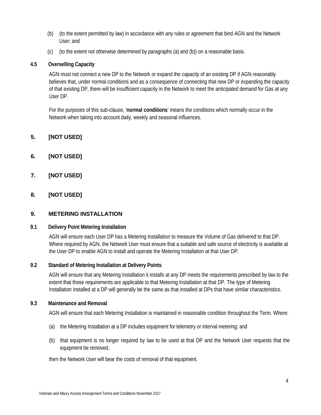- (b) (to the extent permitted by law) in accordance with any rules or agreement that bind AGN and the Network User; and
- (c) (to the extent not otherwise determined by paragraphs (a) and (b)) on a reasonable basis.

## <span id="page-12-0"></span>**4.5 Overselling Capacity**

AGN must not connect a new DP to the Network or expand the capacity of an existing DP if AGN reasonably believes that, under normal conditions and as a consequence of connecting that new DP or expanding the capacity of that existing DP, there will be insufficient capacity in the Network to meet the anticipated demand for Gas at any User DP.

For the purposes of this sub-clause, '**normal conditions**' means the conditions which normally occur in the Network when taking into account daily, weekly and seasonal influences.

## <span id="page-12-2"></span><span id="page-12-1"></span>**5. [NOT USED]**

- <span id="page-12-3"></span>**6. [NOT USED]**
- <span id="page-12-4"></span>**7. [NOT USED]**
- <span id="page-12-5"></span>**8. [NOT USED]**

## <span id="page-12-6"></span>**9. METERING INSTALLATION**

#### **9.1 Delivery Point Metering Installation**

AGN will ensure each User DP has a Metering Installation to measure the Volume of Gas delivered to that DP. Where required by AGN, the Network User must ensure that a suitable and safe source of electricity is available at the User DP to enable AGN to install and operate the Metering Installation at that User DP.

## <span id="page-12-7"></span>**9.2 Standard of Metering Installation at Delivery Points**

AGN will ensure that any Metering Installation it installs at any DP meets the requirements prescribed by law to the extent that those requirements are applicable to that Metering Installation at that DP. The type of Metering Installation installed at a DP will generally be the same as that installed at DPs that have similar characteristics.

#### <span id="page-12-8"></span>**9.3 Maintenance and Removal**

AGN will ensure that each Metering Installation is maintained in reasonable condition throughout the Term. Where:

- (a) the Metering Installation at a DP includes equipment for telemetry or interval metering; and
- (b) that equipment is no longer required by law to be used at that DP and the Network User requests that the equipment be removed,

then the Network User will bear the costs of removal of that equipment.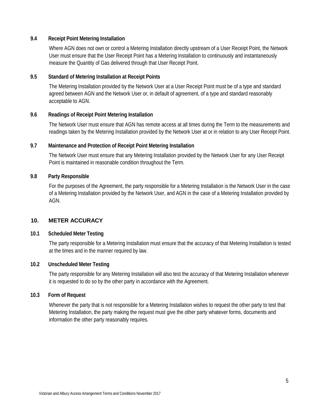## <span id="page-13-0"></span>**9.4 Receipt Point Metering Installation**

Where AGN does not own or control a Metering Installation directly upstream of a User Receipt Point, the Network User must ensure that the User Receipt Point has a Metering Installation to continuously and instantaneously measure the Quantity of Gas delivered through that User Receipt Point.

## <span id="page-13-1"></span>**9.5 Standard of Metering Installation at Receipt Points**

The Metering Installation provided by the Network User at a User Receipt Point must be of a type and standard agreed between AGN and the Network User or, in default of agreement, of a type and standard reasonably acceptable to AGN.

## <span id="page-13-2"></span>**9.6 Readings of Receipt Point Metering Installation**

The Network User must ensure that AGN has remote access at all times during the Term to the measurements and readings taken by the Metering Installation provided by the Network User at or in relation to any User Receipt Point.

## <span id="page-13-3"></span>**9.7 Maintenance and Protection of Receipt Point Metering Installation**

The Network User must ensure that any Metering Installation provided by the Network User for any User Receipt Point is maintained in reasonable condition throughout the Term.

## <span id="page-13-4"></span>**9.8 Party Responsible**

For the purposes of the Agreement, the party responsible for a Metering Installation is the Network User in the case of a Metering Installation provided by the Network User, and AGN in the case of a Metering Installation provided by AGN.

## <span id="page-13-6"></span><span id="page-13-5"></span>**10. METER ACCURACY**

#### **10.1 Scheduled Meter Testing**

The party responsible for a Metering Installation must ensure that the accuracy of that Metering Installation is tested at the times and in the manner required by law.

#### <span id="page-13-7"></span>**10.2 Unscheduled Meter Testing**

The party responsible for any Metering Installation will also test the accuracy of that Metering Installation whenever it is requested to do so by the other party in accordance with the Agreement.

#### <span id="page-13-8"></span>**10.3 Form of Request**

Whenever the party that is not responsible for a Metering Installation wishes to request the other party to test that Metering Installation, the party making the request must give the other party whatever forms, documents and information the other party reasonably requires.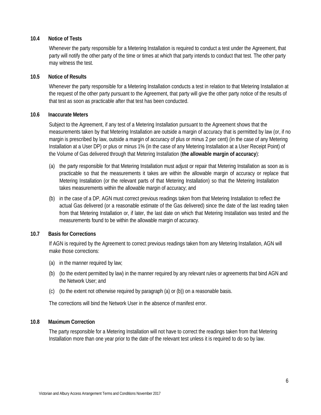## <span id="page-14-0"></span>**10.4 Notice of Tests**

Whenever the party responsible for a Metering Installation is required to conduct a test under the Agreement, that party will notify the other party of the time or times at which that party intends to conduct that test. The other party may witness the test.

## <span id="page-14-1"></span>**10.5 Notice of Results**

Whenever the party responsible for a Metering Installation conducts a test in relation to that Metering Installation at the request of the other party pursuant to the Agreement, that party will give the other party notice of the results of that test as soon as practicable after that test has been conducted.

## <span id="page-14-2"></span>**10.6 Inaccurate Meters**

Subject to the Agreement, if any test of a Metering Installation pursuant to the Agreement shows that the measurements taken by that Metering Installation are outside a margin of accuracy that is permitted by law (or, if no margin is prescribed by law, outside a margin of accuracy of plus or minus 2 per cent) (in the case of any Metering Installation at a User DP) or plus or minus 1% (in the case of any Metering Installation at a User Receipt Point) of the Volume of Gas delivered through that Metering Installation (**the allowable margin of accuracy**):

- (a) the party responsible for that Metering Installation must adjust or repair that Metering Installation as soon as is practicable so that the measurements it takes are within the allowable margin of accuracy or replace that Metering Installation (or the relevant parts of that Metering Installation) so that the Metering Installation takes measurements within the allowable margin of accuracy; and
- (b) in the case of a DP, AGN must correct previous readings taken from that Metering Installation to reflect the actual Gas delivered (or a reasonable estimate of the Gas delivered) since the date of the last reading taken from that Metering Installation or, if later, the last date on which that Metering Installation was tested and the measurements found to be within the allowable margin of accuracy.

## <span id="page-14-3"></span>**10.7 Basis for Corrections**

If AGN is required by the Agreement to correct previous readings taken from any Metering Installation, AGN will make those corrections:

- (a) in the manner required by law;
- (b) (to the extent permitted by law) in the manner required by any relevant rules or agreements that bind AGN and the Network User; and
- (c) (to the extent not otherwise required by paragraph (a) or (b)) on a reasonable basis.

The corrections will bind the Network User in the absence of manifest error.

#### <span id="page-14-4"></span>**10.8 Maximum Correction**

The party responsible for a Metering Installation will not have to correct the readings taken from that Metering Installation more than one year prior to the date of the relevant test unless it is required to do so by law.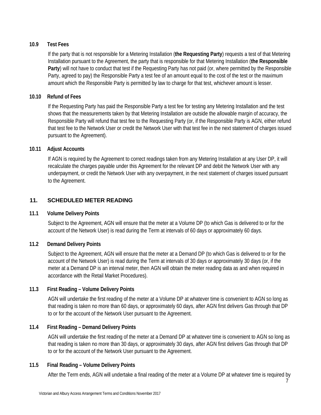## <span id="page-15-0"></span>**10.9 Test Fees**

If the party that is not responsible for a Metering Installation (**the Requesting Party**) requests a test of that Metering Installation pursuant to the Agreement, the party that is responsible for that Metering Installation (**the Responsible Party**) will not have to conduct that test if the Requesting Party has not paid (or, where permitted by the Responsible Party, agreed to pay) the Responsible Party a test fee of an amount equal to the cost of the test or the maximum amount which the Responsible Party is permitted by law to charge for that test, whichever amount is lesser.

## <span id="page-15-1"></span>**10.10 Refund of Fees**

If the Requesting Party has paid the Responsible Party a test fee for testing any Metering Installation and the test shows that the measurements taken by that Metering Installation are outside the allowable margin of accuracy, the Responsible Party will refund that test fee to the Requesting Party (or, if the Responsible Party is AGN, either refund that test fee to the Network User or credit the Network User with that test fee in the next statement of charges issued pursuant to the Agreement).

## <span id="page-15-2"></span>**10.11 Adjust Accounts**

If AGN is required by the Agreement to correct readings taken from any Metering Installation at any User DP, it will recalculate the charges payable under this Agreement for the relevant DP and debit the Network User with any underpayment, or credit the Network User with any overpayment, in the next statement of charges issued pursuant to the Agreement.

## <span id="page-15-3"></span>**11. SCHEDULED METER READING**

## <span id="page-15-4"></span>**11.1 Volume Delivery Points**

Subject to the Agreement, AGN will ensure that the meter at a Volume DP (to which Gas is delivered to or for the account of the Network User) is read during the Term at intervals of 60 days or approximately 60 days.

## <span id="page-15-5"></span>**11.2 Demand Delivery Points**

Subject to the Agreement, AGN will ensure that the meter at a Demand DP (to which Gas is delivered to or for the account of the Network User) is read during the Term at intervals of 30 days or approximately 30 days (or, if the meter at a Demand DP is an interval meter, then AGN will obtain the meter reading data as and when required in accordance with the Retail Market Procedures).

## <span id="page-15-6"></span>**11.3 First Reading – Volume Delivery Points**

AGN will undertake the first reading of the meter at a Volume DP at whatever time is convenient to AGN so long as that reading is taken no more than 60 days, or approximately 60 days, after AGN first delivers Gas through that DP to or for the account of the Network User pursuant to the Agreement.

## <span id="page-15-7"></span>**11.4 First Reading – Demand Delivery Points**

AGN will undertake the first reading of the meter at a Demand DP at whatever time is convenient to AGN so long as that reading is taken no more than 30 days, or approximately 30 days, after AGN first delivers Gas through that DP to or for the account of the Network User pursuant to the Agreement.

## <span id="page-15-8"></span>**11.5 Final Reading – Volume Delivery Points**

After the Term ends, AGN will undertake a final reading of the meter at a Volume DP at whatever time is required by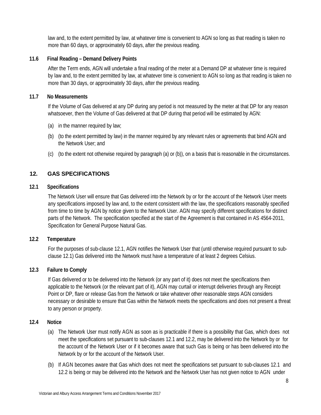law and, to the extent permitted by law, at whatever time is convenient to AGN so long as that reading is taken no more than 60 days, or approximately 60 days, after the previous reading.

## <span id="page-16-0"></span>**11.6 Final Reading – Demand Delivery Points**

After the Term ends, AGN will undertake a final reading of the meter at a Demand DP at whatever time is required by law and, to the extent permitted by law, at whatever time is convenient to AGN so long as that reading is taken no more than 30 days, or approximately 30 days, after the previous reading.

#### <span id="page-16-1"></span>**11.7 No Measurements**

If the Volume of Gas delivered at any DP during any period is not measured by the meter at that DP for any reason whatsoever, then the Volume of Gas delivered at that DP during that period will be estimated by AGN:

- (a) in the manner required by law;
- (b) (to the extent permitted by law) in the manner required by any relevant rules or agreements that bind AGN and the Network User; and
- (c) (to the extent not otherwise required by paragraph (a) or (b)), on a basis that is reasonable in the circumstances.

## <span id="page-16-2"></span>**12. GAS SPECIFICATIONS**

## <span id="page-16-3"></span>**12.1 Specifications**

The Network User will ensure that Gas delivered into the Network by or for the account of the Network User meets any specifications imposed by law and, to the extent consistent with the law, the specifications reasonably specified from time to time by AGN by notice given to the Network User. AGN may specify different specifications for distinct parts of the Network. The specification specified at the start of the Agreement is that contained in AS 4564-2011, Specification for General Purpose Natural Gas.

## <span id="page-16-4"></span>**12.2 Temperature**

For the purposes of sub-clause 12.1, AGN notifies the Network User that (until otherwise required pursuant to subclause 12.1) Gas delivered into the Network must have a temperature of at least 2 degrees Celsius.

#### <span id="page-16-5"></span>**12.3 Failure to Comply**

If Gas delivered or to be delivered into the Network (or any part of it) does not meet the specifications then applicable to the Network (or the relevant part of it), AGN may curtail or interrupt deliveries through any Receipt Point or DP, flare or release Gas from the Network or take whatever other reasonable steps AGN considers necessary or desirable to ensure that Gas within the Network meets the specifications and does not present a threat to any person or property.

#### <span id="page-16-6"></span>**12.4 Notice**

- (a) The Network User must notify AGN as soon as is practicable if there is a possibility that Gas, which does not meet the specifications set pursuant to sub-clauses 12.1 and 12.2, may be delivered into the Network by or for the account of the Network User or if it becomes aware that such Gas is being or has been delivered into the Network by or for the account of the Network User.
- (b) If AGN becomes aware that Gas which does not meet the specifications set pursuant to sub-clauses 12.1 and 12.2 is being or may be delivered into the Network and the Network User has not given notice to AGN under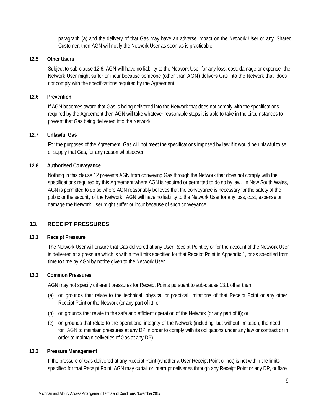paragraph (a) and the delivery of that Gas may have an adverse impact on the Network User or any Shared Customer, then AGN will notify the Network User as soon as is practicable.

#### <span id="page-17-0"></span>**12.5 Other Users**

Subject to sub-clause 12.6, AGN will have no liability to the Network User for any loss, cost, damage or expense the Network User might suffer or incur because someone (other than AGN) delivers Gas into the Network that does not comply with the specifications required by the Agreement.

#### <span id="page-17-1"></span>**12.6 Prevention**

If AGN becomes aware that Gas is being delivered into the Network that does not comply with the specifications required by the Agreement then AGN will take whatever reasonable steps it is able to take in the circumstances to prevent that Gas being delivered into the Network.

#### <span id="page-17-2"></span>**12.7 Unlawful Gas**

For the purposes of the Agreement, Gas will not meet the specifications imposed by law if it would be unlawful to sell or supply that Gas, for any reason whatsoever.

## <span id="page-17-3"></span>**12.8 Authorised Conveyance**

Nothing in this clause 12 prevents AGN from conveying Gas through the Network that does not comply with the specifications required by this Agreement where AGN is required or permitted to do so by law. In New South Wales, AGN is permitted to do so where AGN reasonably believes that the conveyance is necessary for the safety of the public or the security of the Network. AGN will have no liability to the Network User for any loss, cost, expense or damage the Network User might suffer or incur because of such conveyance.

## <span id="page-17-5"></span><span id="page-17-4"></span>**13. RECEIPT PRESSURES**

#### **13.1 Receipt Pressure**

The Network User will ensure that Gas delivered at any User Receipt Point by or for the account of the Network User is delivered at a pressure which is within the limits specified for that Receipt Point in Appendix 1, or as specified from time to time by AGN by notice given to the Network User.

#### <span id="page-17-6"></span>**13.2 Common Pressures**

AGN may not specify different pressures for Receipt Points pursuant to sub-clause 13.1 other than:

- (a) on grounds that relate to the technical, physical or practical limitations of that Receipt Point or any other Receipt Point or the Network (or any part of it); or
- (b) on grounds that relate to the safe and efficient operation of the Network (or any part of it); or
- (c) on grounds that relate to the operational integrity of the Network (including, but without limitation, the need for AGN to maintain pressures at any DP in order to comply with its obligations under any law or contract or in order to maintain deliveries of Gas at any DP).

## <span id="page-17-7"></span>**13.3 Pressure Management**

If the pressure of Gas delivered at any Receipt Point (whether a User Receipt Point or not) is not within the limits specified for that Receipt Point, AGN may curtail or interrupt deliveries through any Receipt Point or any DP, or flare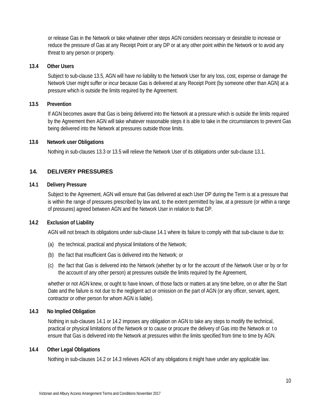or release Gas in the Network or take whatever other steps AGN considers necessary or desirable to increase or reduce the pressure of Gas at any Receipt Point or any DP or at any other point within the Network or to avoid any threat to any person or property.

#### <span id="page-18-0"></span>**13.4 Other Users**

Subject to sub-clause 13.5, AGN will have no liability to the Network User for any loss, cost, expense or damage the Network User might suffer or incur because Gas is delivered at any Receipt Point (by someone other than AGN) at a pressure which is outside the limits required by the Agreement.

## <span id="page-18-1"></span>**13.5 Prevention**

If AGN becomes aware that Gas is being delivered into the Network at a pressure which is outside the limits required by the Agreement then AGN will take whatever reasonable steps it is able to take in the circumstances to prevent Gas being delivered into the Network at pressures outside those limits.

## <span id="page-18-2"></span>**13.6 Network user Obligations**

Nothing in sub-clauses 13.3 or 13.5 will relieve the Network User of its obligations under sub-clause 13.1.

## <span id="page-18-4"></span><span id="page-18-3"></span>**14. DELIVERY PRESSURES**

## **14.1 Delivery Pressure**

Subject to the Agreement, AGN will ensure that Gas delivered at each User DP during the Term is at a pressure that is within the range of pressures prescribed by law and, to the extent permitted by law, at a pressure (or within a range of pressures) agreed between AGN and the Network User in relation to that DP.

#### <span id="page-18-5"></span>**14.2 Exclusion of Liability**

AGN will not breach its obligations under sub-clause 14.1 where its failure to comply with that sub-clause is due to:

- (a) the technical, practical and physical limitations of the Network;
- (b) the fact that insufficient Gas is delivered into the Network; or
- (c) the fact that Gas is delivered into the Network (whether by or for the account of the Network User or by or for the account of any other person) at pressures outside the limits required by the Agreement,

whether or not AGN knew, or ought to have known, of those facts or matters at any time before, on or after the Start Date and the failure is not due to the negligent act or omission on the part of AGN (or any officer, servant, agent, contractor or other person for whom AGN is liable).

## <span id="page-18-6"></span>**14.3 No Implied Obligation**

Nothing in sub-clauses 14.1 or 14.2 imposes any obligation on AGN to take any steps to modify the technical, practical or physical limitations of the Network or to cause or procure the delivery of Gas into the Network or to ensure that Gas is delivered into the Network at pressures within the limits specified from time to time by AGN.

#### <span id="page-18-7"></span>**14.4 Other Legal Obligations**

Nothing in sub-clauses 14.2 or 14.3 relieves AGN of any obligations it might have under any applicable law.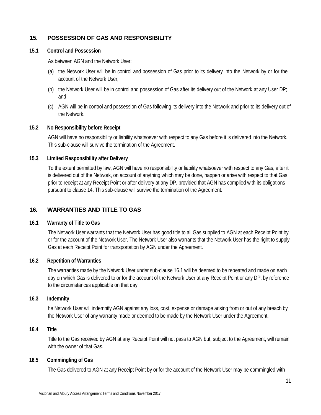## <span id="page-19-0"></span>**15. POSSESSION OF GAS AND RESPONSIBILITY**

#### <span id="page-19-1"></span>**15.1 Control and Possession**

As between AGN and the Network User:

- (a) the Network User will be in control and possession of Gas prior to its delivery into the Network by or for the account of the Network User;
- (b) the Network User will be in control and possession of Gas after its delivery out of the Network at any User DP; and
- (c) AGN will be in control and possession of Gas following its delivery into the Network and prior to its delivery out of the Network.

#### <span id="page-19-2"></span>**15.2 No Responsibility before Receipt**

AGN will have no responsibility or liability whatsoever with respect to any Gas before it is delivered into the Network. This sub-clause will survive the termination of the Agreement.

#### <span id="page-19-3"></span>**15.3 Limited Responsibility after Delivery**

To the extent permitted by law, AGN will have no responsibility or liability whatsoever with respect to any Gas, after it is delivered out of the Network, on account of anything which may be done, happen or arise with respect to that Gas prior to receipt at any Receipt Point or after delivery at any DP, provided that AGN has complied with its obligations pursuant to clause 14. This sub-clause will survive the termination of the Agreement.

## <span id="page-19-5"></span><span id="page-19-4"></span>**16. WARRANTIES AND TITLE TO GAS**

#### **16.1 Warranty of Title to Gas**

The Network User warrants that the Network User has good title to all Gas supplied to AGN at each Receipt Point by or for the account of the Network User. The Network User also warrants that the Network User has the right to supply Gas at each Receipt Point for transportation by AGN under the Agreement.

#### <span id="page-19-6"></span>**16.2 Repetition of Warranties**

The warranties made by the Network User under sub-clause 16.1 will be deemed to be repeated and made on each day on which Gas is delivered to or for the account of the Network User at any Receipt Point or any DP, by reference to the circumstances applicable on that day.

#### <span id="page-19-7"></span>**16.3 Indemnity**

he Network User will indemnify AGN against any loss, cost, expense or damage arising from or out of any breach by the Network User of any warranty made or deemed to be made by the Network User under the Agreement.

#### <span id="page-19-8"></span>**16.4 Title**

Title to the Gas received by AGN at any Receipt Point will not pass to AGN but, subject to the Agreement, will remain with the owner of that Gas.

## <span id="page-19-9"></span>**16.5 Commingling of Gas**

The Gas delivered to AGN at any Receipt Point by or for the account of the Network User may be commingled with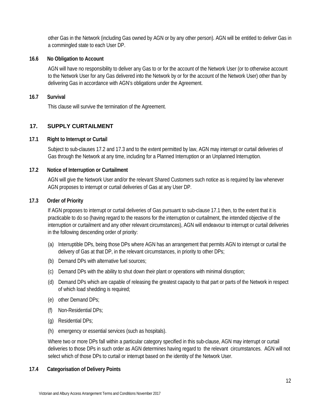other Gas in the Network (including Gas owned by AGN or by any other person). AGN will be entitled to deliver Gas in a commingled state to each User DP.

## <span id="page-20-0"></span>**16.6 No Obligation to Account**

AGN will have no responsibility to deliver any Gas to or for the account of the Network User (or to otherwise account to the Network User for any Gas delivered into the Network by or for the account of the Network User) other than by delivering Gas in accordance with AGN's obligations under the Agreement.

#### <span id="page-20-1"></span>**16.7 Survival**

This clause will survive the termination of the Agreement.

## <span id="page-20-3"></span><span id="page-20-2"></span>**17. SUPPLY CURTAILMENT**

## **17.1 Right to Interrupt or Curtail**

Subject to sub-clauses 17.2 and 17.3 and to the extent permitted by law, AGN may interrupt or curtail deliveries of Gas through the Network at any time, including for a Planned Interruption or an Unplanned Interruption.

## <span id="page-20-4"></span>**17.2 Notice of Interruption or Curtailment**

AGN will give the Network User and/or the relevant Shared Customers such notice as is required by law whenever AGN proposes to interrupt or curtail deliveries of Gas at any User DP.

## <span id="page-20-5"></span>**17.3 Order of Priority**

If AGN proposes to interrupt or curtail deliveries of Gas pursuant to sub-clause 17.1 then, to the extent that it is practicable to do so (having regard to the reasons for the interruption or curtailment, the intended objective of the interruption or curtailment and any other relevant circumstances), AGN will endeavour to interrupt or curtail deliveries in the following descending order of priority:

- (a) Interruptible DPs, being those DPs where AGN has an arrangement that permits AGN to interrupt or curtail the delivery of Gas at that DP, in the relevant circumstances, in priority to other DPs;
- (b) Demand DPs with alternative fuel sources;
- (c) Demand DPs with the ability to shut down their plant or operations with minimal disruption;
- (d) Demand DPs which are capable of releasing the greatest capacity to that part or parts of the Network in respect of which load shedding is required;
- (e) other Demand DPs;
- (f) Non-Residential DPs;
- (g) Residential DPs;
- (h) emergency or essential services (such as hospitals).

Where two or more DPs fall within a particular category specified in this sub-clause, AGN may interrupt or curtail deliveries to those DPs in such order as AGN determines having regard to the relevant circumstances. AGN will not select which of those DPs to curtail or interrupt based on the identity of the Network User.

## <span id="page-20-6"></span>**17.4 Categorisation of Delivery Points**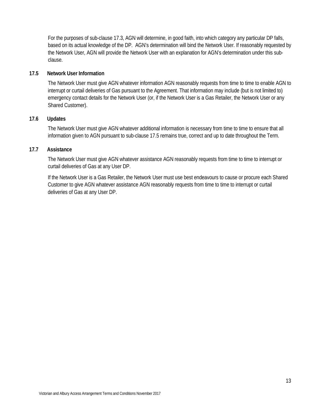For the purposes of sub-clause 17.3, AGN will determine, in good faith, into which category any particular DP falls, based on its actual knowledge of the DP. AGN's determination will bind the Network User. If reasonably requested by the Network User, AGN will provide the Network User with an explanation for AGN's determination under this subclause.

## <span id="page-21-0"></span>**17.5 Network User Information**

The Network User must give AGN whatever information AGN reasonably requests from time to time to enable AGN to interrupt or curtail deliveries of Gas pursuant to the Agreement. That information may include (but is not limited to) emergency contact details for the Network User (or, if the Network User is a Gas Retailer, the Network User or any Shared Customer).

## <span id="page-21-1"></span>**17.6 Updates**

The Network User must give AGN whatever additional information is necessary from time to time to ensure that all information given to AGN pursuant to sub-clause 17.5 remains true, correct and up to date throughout the Term.

## <span id="page-21-2"></span>**17.7 Assistance**

The Network User must give AGN whatever assistance AGN reasonably requests from time to time to interrupt or curtail deliveries of Gas at any User DP.

If the Network User is a Gas Retailer, the Network User must use best endeavours to cause or procure each Shared Customer to give AGN whatever assistance AGN reasonably requests from time to time to interrupt or curtail deliveries of Gas at any User DP.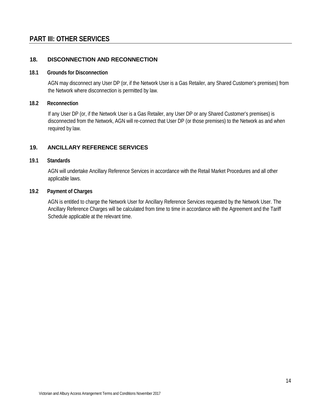## <span id="page-22-1"></span><span id="page-22-0"></span>**PART III: OTHER SERVICES**

## <span id="page-22-2"></span>**18. DISCONNECTION AND RECONNECTION**

#### **18.1 Grounds for Disconnection**

AGN may disconnect any User DP (or, if the Network User is a Gas Retailer, any Shared Customer's premises) from the Network where disconnection is permitted by law.

#### <span id="page-22-3"></span>**18.2 Reconnection**

If any User DP (or, if the Network User is a Gas Retailer, any User DP or any Shared Customer's premises) is disconnected from the Network, AGN will re-connect that User DP (or those premises) to the Network as and when required by law.

## <span id="page-22-4"></span>**19. ANCILLARY REFERENCE SERVICES**

## <span id="page-22-5"></span>**19.1 Standards**

AGN will undertake Ancillary Reference Services in accordance with the Retail Market Procedures and all other applicable laws.

#### <span id="page-22-6"></span>**19.2 Payment of Charges**

AGN is entitled to charge the Network User for Ancillary Reference Services requested by the Network User. The Ancillary Reference Charges will be calculated from time to time in accordance with the Agreement and the Tariff Schedule applicable at the relevant time.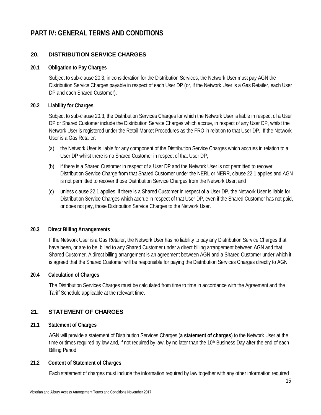## <span id="page-23-2"></span><span id="page-23-1"></span><span id="page-23-0"></span>**20. DISTRIBUTION SERVICE CHARGES**

## **20.1 Obligation to Pay Charges**

Subject to sub-clause 20.3, in consideration for the Distribution Services, the Network User must pay AGN the Distribution Service Charges payable in respect of each User DP (or, if the Network User is a Gas Retailer, each User DP and each Shared Customer).

## <span id="page-23-3"></span>**20.2 Liability for Charges**

Subject to sub-clause 20.3, the Distribution Services Charges for which the Network User is liable in respect of a User DP or Shared Customer include the Distribution Service Charges which accrue, in respect of any User DP, whilst the Network User is registered under the Retail Market Procedures as the FRO in relation to that User DP. If the Network User is a Gas Retailer:

- (a) the Network User is liable for any component of the Distribution Service Charges which accrues in relation to a User DP whilst there is no Shared Customer in respect of that User DP;
- (b) if there is a Shared Customer in respect of a User DP and the Network User is not permitted to recover Distribution Service Charge from that Shared Customer under the NERL or NERR, clause 22.1 applies and AGN is not permitted to recover those Distribution Service Charges from the Network User; and
- (c) unless clause 22.1 applies, if there is a Shared Customer in respect of a User DP, the Network User is liable for Distribution Service Charges which accrue in respect of that User DP, even if the Shared Customer has not paid, or does not pay, those Distribution Service Charges to the Network User.

#### <span id="page-23-4"></span>**20.3 Direct Billing Arrangements**

If the Network User is a Gas Retailer, the Network User has no liability to pay any Distribution Service Charges that have been, or are to be, billed to any Shared Customer under a direct billing arrangement between AGN and that Shared Customer. A direct billing arrangement is an agreement between AGN and a Shared Customer under which it is agreed that the Shared Customer will be responsible for paying the Distribution Services Charges directly to AGN.

#### <span id="page-23-5"></span>**20.4 Calculation of Charges**

The Distribution Services Charges must be calculated from time to time in accordance with the Agreement and the Tariff Schedule applicable at the relevant time.

## <span id="page-23-7"></span><span id="page-23-6"></span>**21. STATEMENT OF CHARGES**

#### **21.1 Statement of Charges**

AGN will provide a statement of Distribution Services Charges (**a statement of charges**) to the Network User at the time or times required by law and, if not required by law, by no later than the 10<sup>th</sup> Business Day after the end of each Billing Period.

#### <span id="page-23-8"></span>**21.2 Content of Statement of Charges**

Each statement of charges must include the information required by law together with any other information required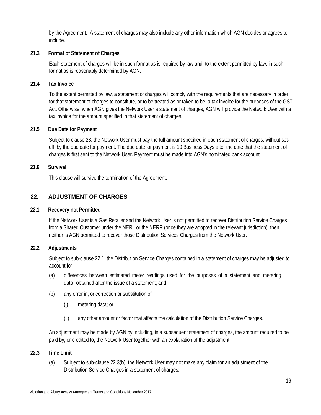by the Agreement. A statement of charges may also include any other information which AGN decides or agrees to include.

## <span id="page-24-0"></span>**21.3 Format of Statement of Charges**

Each statement of charges will be in such format as is required by law and, to the extent permitted by law, in such format as is reasonably determined by AGN.

#### <span id="page-24-1"></span>**21.4 Tax Invoice**

To the extent permitted by law, a statement of charges will comply with the requirements that are necessary in order for that statement of charges to constitute, or to be treated as or taken to be, a tax invoice for the purposes of the GST Act. Otherwise, when AGN gives the Network User a statement of charges, AGN will provide the Network User with a tax invoice for the amount specified in that statement of charges.

## <span id="page-24-2"></span>**21.5 Due Date for Payment**

Subject to clause 23, the Network User must pay the full amount specified in each statement of charges, without setoff, by the due date for payment. The due date for payment is 10 Business Days after the date that the statement of charges is first sent to the Network User. Payment must be made into AGN's nominated bank account.

## <span id="page-24-3"></span>**21.6 Survival**

This clause will survive the termination of the Agreement.

## <span id="page-24-5"></span><span id="page-24-4"></span>**22. ADJUSTMENT OF CHARGES**

#### **22.1 Recovery not Permitted**

If the Network User is a Gas Retailer and the Network User is not permitted to recover Distribution Service Charges from a Shared Customer under the NERL or the NERR (once they are adopted in the relevant jurisdiction), then neither is AGN permitted to recover those Distribution Services Charges from the Network User.

## <span id="page-24-6"></span>**22.2 Adjustments**

Subject to sub-clause 22.1, the Distribution Service Charges contained in a statement of charges may be adjusted to account for:

- (a) differences between estimated meter readings used for the purposes of a statement and metering data obtained after the issue of a statement; and
- (b) any error in, or correction or substitution of:
	- (i) metering data; or
	- (ii) any other amount or factor that affects the calculation of the Distribution Service Charges.

An adjustment may be made by AGN by including, in a subsequent statement of charges, the amount required to be paid by, or credited to, the Network User together with an explanation of the adjustment.

#### <span id="page-24-7"></span>**22.3 Time Limit**

(a) Subject to sub-clause 22.3(b), the Network User may not make any claim for an adjustment of the Distribution Service Charges in a statement of charges: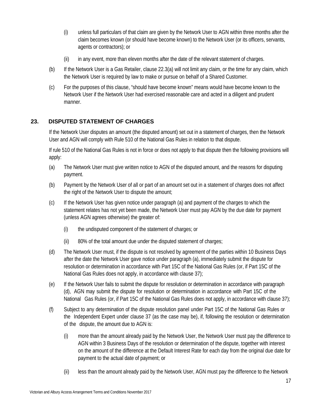- (i) unless full particulars of that claim are given by the Network User to AGN within three months after the claim becomes known (or should have become known) to the Network User (or its officers, servants, agents or contractors); or
- (ii) in any event, more than eleven months after the date of the relevant statement of charges.
- (b) If the Network User is a Gas Retailer, clause 22.3(a) will not limit any claim, or the time for any claim, which the Network User is required by law to make or pursue on behalf of a Shared Customer.
- (c) For the purposes of this clause, "should have become known" means would have become known to the Network User if the Network User had exercised reasonable care and acted in a diligent and prudent manner.

## <span id="page-25-0"></span>**23. DISPUTED STATEMENT OF CHARGES**

If the Network User disputes an amount (the disputed amount) set out in a statement of charges, then the Network User and AGN will comply with Rule 510 of the National Gas Rules in relation to that dispute.

If rule 510 of the National Gas Rules is not in force or does not apply to that dispute then the following provisions will apply:

- (a) The Network User must give written notice to AGN of the disputed amount, and the reasons for disputing payment.
- (b) Payment by the Network User of all or part of an amount set out in a statement of charges does not affect the right of the Network User to dispute the amount;
- (c) If the Network User has given notice under paragraph (a) and payment of the charges to which the statement relates has not yet been made, the Network User must pay AGN by the due date for payment (unless AGN agrees otherwise) the greater of:
	- (i) the undisputed component of the statement of charges; or
	- (ii) 80% of the total amount due under the disputed statement of charges;
- (d) The Network User must, if the dispute is not resolved by agreement of the parties within 10 Business Days after the date the Network User gave notice under paragraph (a), immediately submit the dispute for resolution or determination in accordance with Part 15C of the National Gas Rules (or, if Part 15C of the National Gas Rules does not apply, in accordance with clause 37);
- (e) If the Network User fails to submit the dispute for resolution or determination in accordance with paragraph (d), AGN may submit the dispute for resolution or determination in accordance with Part 15C of the National Gas Rules (or, if Part 15C of the National Gas Rules does not apply, in accordance with clause 37);
- (f) Subject to any determination of the dispute resolution panel under Part 15C of the National Gas Rules or the Independent Expert under clause 37 (as the case may be), if, following the resolution or determination of the dispute, the amount due to AGN is:
	- (i) more than the amount already paid by the Network User, the Network User must pay the difference to AGN within 3 Business Days of the resolution or determination of the dispute, together with interest on the amount of the difference at the Default Interest Rate for each day from the original due date for payment to the actual date of payment; or
	- (ii) less than the amount already paid by the Network User, AGN must pay the difference to the Network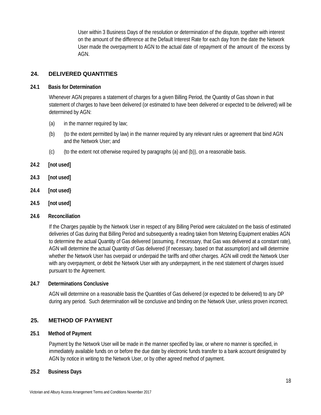User within 3 Business Days of the resolution or determination of the dispute, together with interest on the amount of the difference at the Default Interest Rate for each day from the date the Network User made the overpayment to AGN to the actual date of repayment of the amount of the excess by AGN.

## <span id="page-26-1"></span><span id="page-26-0"></span>**24. DELIVERED QUANTITIES**

#### **24.1 Basis for Determination**

Whenever AGN prepares a statement of charges for a given Billing Period, the Quantity of Gas shown in that statement of charges to have been delivered (or estimated to have been delivered or expected to be delivered) will be determined by AGN:

- (a) in the manner required by law;
- (b) (to the extent permitted by law) in the manner required by any relevant rules or agreement that bind AGN and the Network User; and
- (c) (to the extent not otherwise required by paragraphs (a) and (b)), on a reasonable basis.
- <span id="page-26-2"></span>**24.2 [not used]**
- <span id="page-26-3"></span>**24.3 [not used]**
- <span id="page-26-4"></span>**24.4 [not used}**
- <span id="page-26-5"></span>**24.5 [not used]**

#### <span id="page-26-6"></span>**24.6 Reconciliation**

If the Charges payable by the Network User in respect of any Billing Period were calculated on the basis of estimated deliveries of Gas during that Billing Period and subsequently a reading taken from Metering Equipment enables AGN to determine the actual Quantity of Gas delivered (assuming, if necessary, that Gas was delivered at a constant rate), AGN will determine the actual Quantity of Gas delivered (if necessary, based on that assumption) and will determine whether the Network User has overpaid or underpaid the tariffs and other charges. AGN will credit the Network User with any overpayment, or debit the Network User with any underpayment, in the next statement of charges issued pursuant to the Agreement.

#### <span id="page-26-7"></span>**24.7 Determinations Conclusive**

AGN will determine on a reasonable basis the Quantities of Gas delivered (or expected to be delivered) to any DP during any period. Such determination will be conclusive and binding on the Network User, unless proven incorrect.

## <span id="page-26-9"></span><span id="page-26-8"></span>**25. METHOD OF PAYMENT**

## **25.1 Method of Payment**

Payment by the Network User will be made in the manner specified by law, or where no manner is specified, in immediately available funds on or before the due date by electronic funds transfer to a bank account designated by AGN by notice in writing to the Network User, or by other agreed method of payment.

#### <span id="page-26-10"></span>**25.2 Business Days**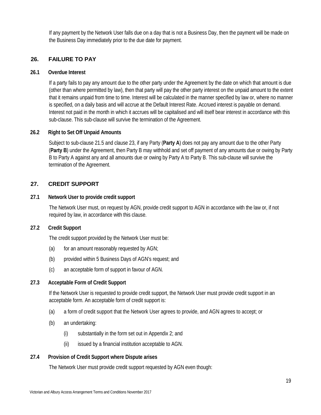If any payment by the Network User falls due on a day that is not a Business Day, then the payment will be made on the Business Day immediately prior to the due date for payment.

## <span id="page-27-0"></span>**26. FAILURE TO PAY**

## <span id="page-27-1"></span>**26.1 Overdue Interest**

If a party fails to pay any amount due to the other party under the Agreement by the date on which that amount is due (other than where permitted by law), then that party will pay the other party interest on the unpaid amount to the extent that it remains unpaid from time to time. Interest will be calculated in the manner specified by law or, where no manner is specified, on a daily basis and will accrue at the Default Interest Rate. Accrued interest is payable on demand. Interest not paid in the month in which it accrues will be capitalised and will itself bear interest in accordance with this sub-clause. This sub-clause will survive the termination of the Agreement.

## <span id="page-27-2"></span>**26.2 Right to Set Off Unpaid Amounts**

Subject to sub-clause 21.5 and clause 23, if any Party (**Party A**) does not pay any amount due to the other Party (**Party B**) under the Agreement, then Party B may withhold and set off payment of any amounts due or owing by Party B to Party A against any and all amounts due or owing by Party A to Party B. This sub-clause will survive the termination of the Agreement.

## <span id="page-27-3"></span>**27. CREDIT SUPPORT**

## <span id="page-27-4"></span>**27.1 Network User to provide credit support**

The Network User must, on request by AGN, provide credit support to AGN in accordance with the law or, if not required by law, in accordance with this clause.

## <span id="page-27-5"></span>**27.2 Credit Support**

The credit support provided by the Network User must be:

- (a) for an amount reasonably requested by  $AGN$ ;
- (b) provided within 5 Business Days of AGN's request; and
- (c) an acceptable form of support in favour of AGN.

## <span id="page-27-6"></span>**27.3 Acceptable Form of Credit Support**

If the Network User is requested to provide credit support, the Network User must provide credit support in an acceptable form. An acceptable form of credit support is:

- (a) a form of credit support that the Network User agrees to provide, and AGN agrees to accept; or
- (b) an undertaking:
	- (i) substantially in the form set out in Appendix 2; and
	- (ii) issued by a financial institution acceptable to AGN.

## <span id="page-27-7"></span>**27.4 Provision of Credit Support where Dispute arises**

The Network User must provide credit support requested by AGN even though: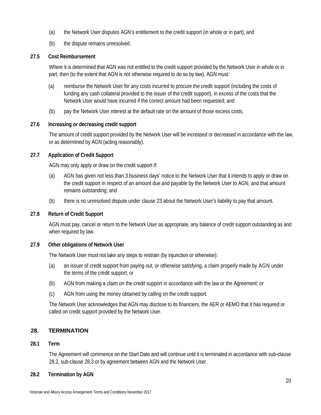- (a) the Network User disputes AGN's entitlement to the credit support (in whole or in part); and
- (b) the dispute remains unresolved.

## <span id="page-28-0"></span>**27.5 Cost Reimbursement**

Where it is determined that AGN was not entitled to the credit support provided by the Network User in whole or in part, then (to the extent that AGN is not otherwise required to do so by law), AGN must:

- (a) reimburse the Network User for any costs incurred to procure the credit support (including the costs of funding any cash collateral provided to the issuer of the credit support), in excess of the costs that the Network User would have incurred if the correct amount had been requested; and
- (b) pay the Network User interest at the default rate on the amount of those excess costs.

## <span id="page-28-1"></span>**27.6 Increasing or decreasing credit support**

The amount of credit support provided by the Network User will be increased or decreased in accordance with the law, or as determined by AGN (acting reasonably).

## <span id="page-28-2"></span>**27.7 Application of Credit Support**

AGN may only apply or draw on the credit support if:

- (a) AGN has given not less than 3 business days' notice to the Network User that it intends to apply or draw on the credit support in respect of an amount due and payable by the Network User to AGN, and that amount remains outstanding; and
- (b) there is no unresolved dispute under clause 23 about the Network User's liability to pay that amount.

## <span id="page-28-3"></span>**27.8 Return of Credit Support**

AGN must pay, cancel or return to the Network User as appropriate, any balance of credit support outstanding as and when required by law.

## <span id="page-28-4"></span>**27.9 Other obligations of Network User**

The Network User must not take any steps to restrain (by injunction or otherwise):

- (a) an issuer of credit support from paying out, or otherwise satisfying, a claim properly made by AGN under the terms of the credit support; or
- (b) AGN from making a claim on the credit support in accordance with the law or the Agreement; or
- (c) AGN from using the money obtained by calling on the credit support.

The Network User acknowledges that AGN may disclose to its financiers, the AER or AEMO that it has required or called on credit support provided by the Network User.

## <span id="page-28-5"></span>**28. TERMINATION**

## <span id="page-28-6"></span>**28.1 Term**

The Agreement will commence on the Start Date and will continue until it is terminated in accordance with sub-clause 28.2, sub-clause 28.3 or by agreement between AGN and the Network User.

## <span id="page-28-7"></span>**28.2 Termination by AGN**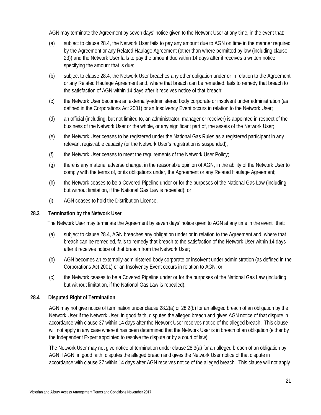AGN may terminate the Agreement by seven days' notice given to the Network User at any time, in the event that:

- (a) subject to clause 28.4, the Network User fails to pay any amount due to AGN on time in the manner required by the Agreement or any Related Haulage Agreement (other than where permitted by law (including clause 23)) and the Network User fails to pay the amount due within 14 days after it receives a written notice specifying the amount that is due;
- (b) subject to clause 28.4, the Network User breaches any other obligation under or in relation to the Agreement or any Related Haulage Agreement and, where that breach can be remedied, fails to remedy that breach to the satisfaction of AGN within 14 days after it receives notice of that breach;
- (c) the Network User becomes an externally-administered body corporate or insolvent under administration (as defined in the Corporations Act 2001) or an Insolvency Event occurs in relation to the Network User;
- (d) an official (including, but not limited to, an administrator, manager or receiver) is appointed in respect of the business of the Network User or the whole, or any significant part of, the assets of the Network User;
- (e) the Network User ceases to be registered under the National Gas Rules as a registered participant in any relevant registrable capacity (or the Network User's registration is suspended);
- (f) the Network User ceases to meet the requirements of the Network User Policy;
- (g) there is any material adverse change, in the reasonable opinion of AGN, in the ability of the Network User to comply with the terms of, or its obligations under, the Agreement or any Related Haulage Agreement;
- (h) the Network ceases to be a Covered Pipeline under or for the purposes of the National Gas Law (including, but without limitation, if the National Gas Law is repealed); or
- (i) AGN ceases to hold the Distribution Licence.

## <span id="page-29-0"></span>**28.3 Termination by the Network User**

The Network User may terminate the Agreement by seven days' notice given to AGN at any time in the event that:

- (a) subject to clause 28.4, AGN breaches any obligation under or in relation to the Agreement and, where that breach can be remedied, fails to remedy that breach to the satisfaction of the Network User within 14 days after it receives notice of that breach from the Network User;
- (b) AGN becomes an externally-administered body corporate or insolvent under administration (as defined in the Corporations Act 2001) or an Insolvency Event occurs in relation to AGN; or
- (c) the Network ceases to be a Covered Pipeline under or for the purposes of the National Gas Law (including, but without limitation, if the National Gas Law is repealed).

## <span id="page-29-1"></span>**28.4 Disputed Right of Termination**

AGN may not give notice of termination under clause 28.2(a) or 28.2(b) for an alleged breach of an obligation by the Network User if the Network User, in good faith, disputes the alleged breach and gives AGN notice of that dispute in accordance with clause 37 within 14 days after the Network User receives notice of the alleged breach. This clause will not apply in any case where it has been determined that the Network User is in breach of an obligation (either by the Independent Expert appointed to resolve the dispute or by a court of law).

The Network User may not give notice of termination under clause 28.3(a) for an alleged breach of an obligation by AGN if AGN, in good faith, disputes the alleged breach and gives the Network User notice of that dispute in accordance with clause 37 within 14 days after AGN receives notice of the alleged breach. This clause will not apply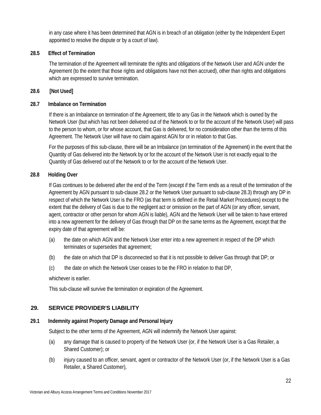in any case where it has been determined that AGN is in breach of an obligation (either by the Independent Expert appointed to resolve the dispute or by a court of law).

## <span id="page-30-0"></span>**28.5 Effect of Termination**

The termination of the Agreement will terminate the rights and obligations of the Network User and AGN under the Agreement (to the extent that those rights and obligations have not then accrued), other than rights and obligations which are expressed to survive termination.

## <span id="page-30-1"></span>**28.6 [Not Used]**

## <span id="page-30-2"></span>**28.7 Imbalance on Termination**

If there is an Imbalance on termination of the Agreement, title to any Gas in the Network which is owned by the Network User (but which has not been delivered out of the Network to or for the account of the Network User) will pass to the person to whom, or for whose account, that Gas is delivered, for no consideration other than the terms of this Agreement. The Network User will have no claim against AGN for or in relation to that Gas.

For the purposes of this sub-clause, there will be an Imbalance (on termination of the Agreement) in the event that the Quantity of Gas delivered into the Network by or for the account of the Network User is not exactly equal to the Quantity of Gas delivered out of the Network to or for the account of the Network User.

## <span id="page-30-3"></span>**28.8 Holding Over**

If Gas continues to be delivered after the end of the Term (except if the Term ends as a result of the termination of the Agreement by AGN pursuant to sub-clause 28.2 or the Network User pursuant to sub-clause 28.3) through any DP in respect of which the Network User is the FRO (as that term is defined in the Retail Market Procedures) except to the extent that the delivery of Gas is due to the negligent act or omission on the part of AGN (or any officer, servant, agent, contractor or other person for whom AGN is liable), AGN and the Network User will be taken to have entered into a new agreement for the delivery of Gas through that DP on the same terms as the Agreement, except that the expiry date of that agreement will be:

- (a) the date on which AGN and the Network User enter into a new agreement in respect of the DP which terminates or supersedes that agreement;
- (b) the date on which that DP is disconnected so that it is not possible to deliver Gas through that DP; or
- (c) the date on which the Network User ceases to be the FRO in relation to that DP,

#### whichever is earlier.

This sub-clause will survive the termination or expiration of the Agreement.

## <span id="page-30-5"></span><span id="page-30-4"></span>**29. SERVICE PROVIDER'S LIABILITY**

## **29.1 Indemnity against Property Damage and Personal Injury**

Subject to the other terms of the Agreement, AGN will indemnify the Network User against:

- (a) any damage that is caused to property of the Network User (or, if the Network User is a Gas Retailer, a Shared Customer); or
- (b) injury caused to an officer, servant, agent or contractor of the Network User (or, if the Network User is a Gas Retailer, a Shared Customer),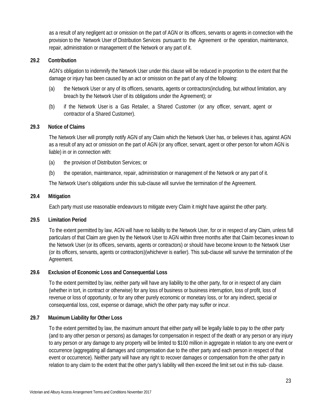as a result of any negligent act or omission on the part of AGN or its officers, servants or agents in connection with the provision to the Network User of Distribution Services pursuant to the Agreement or the operation, maintenance, repair, administration or management of the Network or any part of it.

## <span id="page-31-0"></span>**29.2 Contribution**

AGN's obligation to indemnify the Network User under this clause will be reduced in proportion to the extent that the damage or injury has been caused by an act or omission on the part of any of the following:

- (a) the Network User or any of its officers, servants, agents or contractors(including, but without limitation, any breach by the Network User of its obligations under the Agreement); or
- (b) if the Network User is a Gas Retailer, a Shared Customer (or any officer, servant, agent or contractor of a Shared Customer).

## <span id="page-31-1"></span>**29.3 Notice of Claims**

The Network User will promptly notify AGN of any Claim which the Network User has, or believes it has, against AGN as a result of any act or omission on the part of AGN (or any officer, servant, agent or other person for whom AGN is liable) in or in connection with:

- (a) the provision of Distribution Services; or
- (b) the operation, maintenance, repair, administration or management of the Network or any part of it.

The Network User's obligations under this sub-clause will survive the termination of the Agreement.

## <span id="page-31-2"></span>**29.4 Mitigation**

Each party must use reasonable endeavours to mitigate every Claim it might have against the other party.

## <span id="page-31-3"></span>**29.5 Limitation Period**

To the extent permitted by law, AGN will have no liability to the Network User, for or in respect of any Claim, unless full particulars of that Claim are given by the Network User to AGN within three months after that Claim becomes known to the Network User (or its officers, servants, agents or contractors) or should have become known to the Network User (or its officers, servants, agents or contractors)(whichever is earlier). This sub-clause will survive the termination of the Agreement.

## <span id="page-31-4"></span>**29.6 Exclusion of Economic Loss and Consequential Loss**

To the extent permitted by law, neither party will have any liability to the other party, for or in respect of any claim (whether in tort, in contract or otherwise) for any loss of business or business interruption, loss of profit, loss of revenue or loss of opportunity, or for any other purely economic or monetary loss, or for any indirect, special or consequential loss, cost, expense or damage, which the other party may suffer or incur.

## <span id="page-31-5"></span>**29.7 Maximum Liability for Other Loss**

To the extent permitted by law, the maximum amount that either party will be legally liable to pay to the other party (and to any other person or persons) as damages for compensation in respect of the death or any person or any injury to any person or any damage to any property will be limited to \$100 million in aggregate in relation to any one event or occurrence (aggregating all damages and compensation due to the other party and each person in respect of that event or occurrence). Neither party will have any right to recover damages or compensation from the other party in relation to any claim to the extent that the other party's liability will then exceed the limit set out in this sub- clause.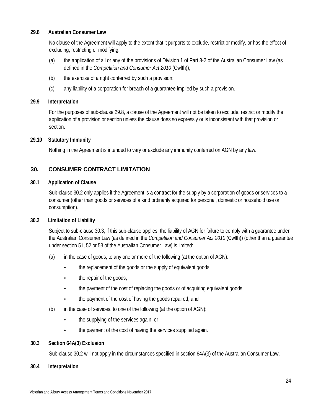## <span id="page-32-0"></span>**29.8 Australian Consumer Law**

No clause of the Agreement will apply to the extent that it purports to exclude, restrict or modify, or has the effect of excluding, restricting or modifying:

- (a) the application of all or any of the provisions of Division 1 of Part 3-2 of the Australian Consumer Law (as defined in the *Competition and Consumer Act 2010* (Cwlth));
- (b) the exercise of a right conferred by such a provision;
- (c) any liability of a corporation for breach of a guarantee implied by such a provision.

#### <span id="page-32-1"></span>**29.9 Interpretation**

For the purposes of sub-clause 29.8, a clause of the Agreement will not be taken to exclude, restrict or modify the application of a provision or section unless the clause does so expressly or is inconsistent with that provision or section.

## <span id="page-32-2"></span>**29.10 Statutory Immunity**

Nothing in the Agreement is intended to vary or exclude any immunity conferred on AGN by any law.

## <span id="page-32-3"></span>**30. CONSUMER CONTRACT LIMITATION**

#### <span id="page-32-4"></span>**30.1 Application of Clause**

Sub-clause 30.2 only applies if the Agreement is a contract for the supply by a corporation of goods or services to a consumer (other than goods or services of a kind ordinarily acquired for personal, domestic or household use or consumption).

#### <span id="page-32-5"></span>**30.2 Limitation of Liability**

Subject to sub-clause 30.3, if this sub-clause applies, the liability of AGN for failure to comply with a guarantee under the Australian Consumer Law (as defined in the *Competition and Consumer Act 2010* (Cwlth)) (other than a guarantee under section 51, 52 or 53 of the Australian Consumer Law) is limited:

- (a) in the case of goods, to any one or more of the following (at the option of AGN):
	- the replacement of the goods or the supply of equivalent goods;
	- the repair of the goods;
	- the payment of the cost of replacing the goods or of acquiring equivalent goods;
	- the payment of the cost of having the goods repaired; and
- (b) in the case of services, to one of the following (at the option of AGN):
	- the supplying of the services again; or
	- the payment of the cost of having the services supplied again.

#### <span id="page-32-6"></span>**30.3 Section 64A(3) Exclusion**

Sub-clause 30.2 will not apply in the circumstances specified in section 64A(3) of the Australian Consumer Law.

#### <span id="page-32-7"></span>**30.4 Interpretation**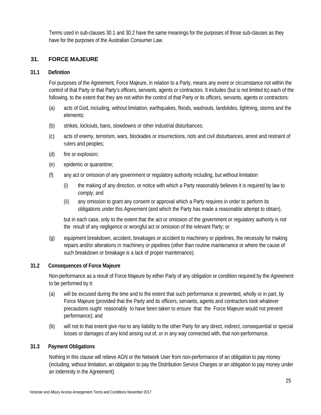Terms used in sub-clauses 30.1 and 30.2 have the same meanings for the purposes of those sub-clauses as they have for the purposes of the Australian Consumer Law.

## <span id="page-33-0"></span>**31. FORCE MAJEURE**

## <span id="page-33-1"></span>**31.1 Definition**

For purposes of the Agreement, Force Majeure, in relation to a Party, means any event or circumstance not within the control of that Party or that Party's officers, servants, agents or contractors. It includes (but is not limited to) each of the following, to the extent that they are not within the control of that Party or its officers, servants, agents or contractors:

- (a) acts of God, including, without limitation, earthquakes, floods, washouts, landslides, lightning, storms and the elements;
- (b) strikes, lockouts, bans, slowdowns or other industrial disturbances;
- (c) acts of enemy, terrorism, wars, blockades or insurrections, riots and civil disturbances, arrest and restraint of rulers and peoples;
- (d) fire or explosion;
- (e) epidemic or quarantine;
- (f) any act or omission of any government or regulatory authority including, but without limitation
	- (i) the making of any direction, or notice with which a Party reasonably believes it is required by law to comply; and
	- (ii) any omission to grant any consent or approval which a Party requires in order to perform its obligations under this Agreement (and which the Party has made a reasonable attempt to obtain),

but in each case, only to the extent that the act or omission of the government or regulatory authority is not the result of any negligence or wrongful act or omission of the relevant Party; or

(g) equipment breakdown, accident, breakages or accident to machinery or pipelines, the necessity for making repairs and/or alterations in machinery or pipelines (other than routine maintenance or where the cause of such breakdown or breakage is a lack of proper maintenance).

## <span id="page-33-2"></span>**31.2 Consequences of Force Majeure**

Non-performance as a result of Force Majeure by either Party of any obligation or condition required by the Agreement to be performed by it:

- (a) will be excused during the time and to the extent that such performance is prevented, wholly or in part, by Force Majeure (provided that the Party and its officers, servants, agents and contractors took whatever precautions ought reasonably to have been taken to ensure that the Force Majeure would not prevent performance); and
- (b) will not to that extent give rise to any liability to the other Party for any direct, indirect, consequential or special losses or damages of any kind arising out of, or in any way connected with, that non-performance.

## <span id="page-33-3"></span>**31.3 Payment Obligations**

Nothing in this clause will relieve AGN or the Network User from non-performance of an obligation to pay money (including, without limitation, an obligation to pay the Distribution Service Charges or an obligation to pay money under an indemnity in the Agreement).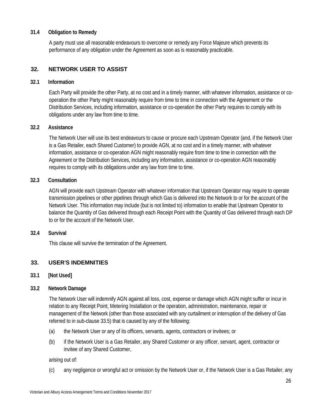## <span id="page-34-0"></span>**31.4 Obligation to Remedy**

A party must use all reasonable endeavours to overcome or remedy any Force Majeure which prevents its performance of any obligation under the Agreement as soon as is reasonably practicable.

## <span id="page-34-2"></span><span id="page-34-1"></span>**32. NETWORK USER TO ASSIST**

#### **32.1 Information**

Each Party will provide the other Party, at no cost and in a timely manner, with whatever information, assistance or cooperation the other Party might reasonably require from time to time in connection with the Agreement or the Distribution Services, including information, assistance or co-operation the other Party requires to comply with its obligations under any law from time to time.

## <span id="page-34-3"></span>**32.2 Assistance**

The Network User will use its best endeavours to cause or procure each Upstream Operator (and, if the Network User is a Gas Retailer, each Shared Customer) to provide AGN, at no cost and in a timely manner, with whatever information, assistance or co-operation AGN might reasonably require from time to time in connection with the Agreement or the Distribution Services, including any information, assistance or co-operation AGN reasonably requires to comply with its obligations under any law from time to time.

#### <span id="page-34-4"></span>**32.3 Consultation**

AGN will provide each Upstream Operator with whatever information that Upstream Operator may require to operate transmission pipelines or other pipelines through which Gas is delivered into the Network to or for the account of the Network User. This information may include (but is not limited to) information to enable that Upstream Operator to balance the Quantity of Gas delivered through each Receipt Point with the Quantity of Gas delivered through each DP to or for the account of the Network User.

#### <span id="page-34-5"></span>**32.4 Survival**

This clause will survive the termination of the Agreement.

## <span id="page-34-7"></span><span id="page-34-6"></span>**33. USER'S INDEMNITIES**

#### **33.1 [Not Used]**

#### <span id="page-34-8"></span>**33.2 Network Damage**

The Network User will indemnify AGN against all loss, cost, expense or damage which AGN might suffer or incur in relation to any Receipt Point, Metering Installation or the operation, administration, maintenance, repair or management of the Network (other than those associated with any curtailment or interruption of the delivery of Gas referred to in sub-clause 33.5) that is caused by any of the following:

- (a) the Network User or any of its officers, servants, agents, contractors or invitees; or
- (b) if the Network User is a Gas Retailer, any Shared Customer or any officer, servant, agent, contractor or invitee of any Shared Customer,

#### arising out of:

(c) any negligence or wrongful act or omission by the Network User or, if the Network User is a Gas Retailer, any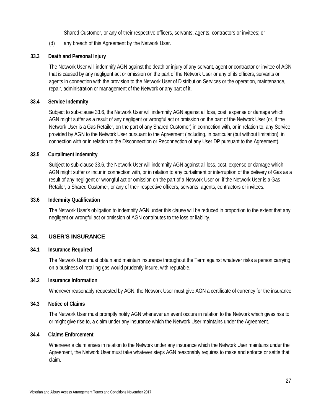Shared Customer, or any of their respective officers, servants, agents, contractors or invitees; or

(d) any breach of this Agreement by the Network User.

## <span id="page-35-0"></span>**33.3 Death and Personal Injury**

The Network User will indemnify AGN against the death or injury of any servant, agent or contractor or invitee of AGN that is caused by any negligent act or omission on the part of the Network User or any of its officers, servants or agents in connection with the provision to the Network User of Distribution Services or the operation, maintenance, repair, administration or management of the Network or any part of it.

#### <span id="page-35-1"></span>**33.4 Service Indemnity**

Subject to sub-clause 33.6, the Network User will indemnify AGN against all loss, cost, expense or damage which AGN might suffer as a result of any negligent or wrongful act or omission on the part of the Network User (or, if the Network User is a Gas Retailer, on the part of any Shared Customer) in connection with, or in relation to, any Service provided by AGN to the Network User pursuant to the Agreement (including, in particular (but without limitation), in connection with or in relation to the Disconnection or Reconnection of any User DP pursuant to the Agreement).

#### <span id="page-35-2"></span>**33.5 Curtailment Indemnity**

Subject to sub-clause 33.6, the Network User will indemnify AGN against all loss, cost, expense or damage which AGN might suffer or incur in connection with, or in relation to any curtailment or interruption of the delivery of Gas as a result of any negligent or wrongful act or omission on the part of a Network User or, if the Network User is a Gas Retailer, a Shared Customer, or any of their respective officers, servants, agents, contractors or invitees.

#### <span id="page-35-3"></span>**33.6 Indemnity Qualification**

The Network User's obligation to indemnify AGN under this clause will be reduced in proportion to the extent that any negligent or wrongful act or omission of AGN contributes to the loss or liability.

## <span id="page-35-5"></span><span id="page-35-4"></span>**34. USER'S INSURANCE**

#### **34.1 Insurance Required**

The Network User must obtain and maintain insurance throughout the Term against whatever risks a person carrying on a business of retailing gas would prudently insure, with reputable.

## <span id="page-35-6"></span>**34.2 Insurance Information**

Whenever reasonably requested by AGN, the Network User must give AGN a certificate of currency for the insurance.

#### <span id="page-35-7"></span>**34.3 Notice of Claims**

The Network User must promptly notify AGN whenever an event occurs in relation to the Network which gives rise to, or might give rise to, a claim under any insurance which the Network User maintains under the Agreement.

## <span id="page-35-8"></span>**34.4 Claims Enforcement**

Whenever a claim arises in relation to the Network under any insurance which the Network User maintains under the Agreement, the Network User must take whatever steps AGN reasonably requires to make and enforce or settle that claim.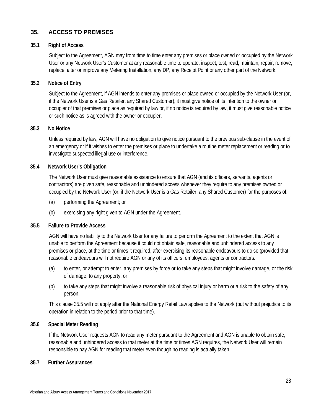## <span id="page-36-0"></span>**35. ACCESS TO PREMISES**

#### <span id="page-36-1"></span>**35.1 Right of Access**

Subject to the Agreement, AGN may from time to time enter any premises or place owned or occupied by the Network User or any Network User's Customer at any reasonable time to operate, inspect, test, read, maintain, repair, remove, replace, alter or improve any Metering Installation, any DP, any Receipt Point or any other part of the Network.

## <span id="page-36-2"></span>**35.2 Notice of Entry**

Subject to the Agreement, if AGN intends to enter any premises or place owned or occupied by the Network User (or, if the Network User is a Gas Retailer, any Shared Customer), it must give notice of its intention to the owner or occupier of that premises or place as required by law or, if no notice is required by law, it must give reasonable notice or such notice as is agreed with the owner or occupier.

## <span id="page-36-3"></span>**35.3 No Notice**

Unless required by law, AGN will have no obligation to give notice pursuant to the previous sub-clause in the event of an emergency or if it wishes to enter the premises or place to undertake a routine meter replacement or reading or to investigate suspected illegal use or interference.

## <span id="page-36-4"></span>**35.4 Network User's Obligation**

The Network User must give reasonable assistance to ensure that AGN (and its officers, servants, agents or contractors) are given safe, reasonable and unhindered access whenever they require to any premises owned or occupied by the Network User (or, if the Network User is a Gas Retailer, any Shared Customer) for the purposes of:

- (a) performing the Agreement; or
- (b) exercising any right given to AGN under the Agreement.

#### <span id="page-36-5"></span>**35.5 Failure to Provide Access**

AGN will have no liability to the Network User for any failure to perform the Agreement to the extent that AGN is unable to perform the Agreement because it could not obtain safe, reasonable and unhindered access to any premises or place, at the time or times it required, after exercising its reasonable endeavours to do so (provided that reasonable endeavours will not require AGN or any of its officers, employees, agents or contractors:

- (a) to enter, or attempt to enter, any premises by force or to take any steps that might involve damage, or the risk of damage, to any property; or
- (b) to take any steps that might involve a reasonable risk of physical injury or harm or a risk to the safety of any person.

This clause 35.5 will not apply after the National Energy Retail Law applies to the Network (but without prejudice to its operation in relation to the period prior to that time).

#### <span id="page-36-6"></span>**35.6 Special Meter Reading**

If the Network User requests AGN to read any meter pursuant to the Agreement and AGN is unable to obtain safe, reasonable and unhindered access to that meter at the time or times AGN requires, the Network User will remain responsible to pay AGN for reading that meter even though no reading is actually taken.

#### <span id="page-36-7"></span>**35.7 Further Assurances**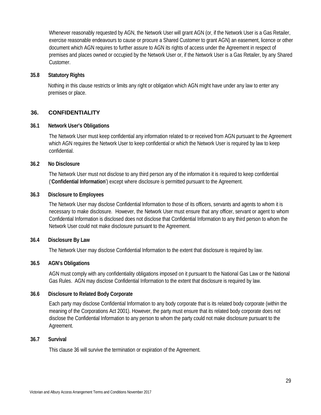Whenever reasonably requested by AGN, the Network User will grant AGN (or, if the Network User is a Gas Retailer, exercise reasonable endeavours to cause or procure a Shared Customer to grant AGN) an easement, licence or other document which AGN requires to further assure to AGN its rights of access under the Agreement in respect of premises and places owned or occupied by the Network User or, if the Network User is a Gas Retailer, by any Shared Customer.

## <span id="page-37-0"></span>**35.8 Statutory Rights**

Nothing in this clause restricts or limits any right or obligation which AGN might have under any law to enter any premises or place.

## <span id="page-37-2"></span><span id="page-37-1"></span>**36. CONFIDENTIALITY**

## **36.1 Network User's Obligations**

The Network User must keep confidential any information related to or received from AGN pursuant to the Agreement which AGN requires the Network User to keep confidential or which the Network User is required by law to keep confidential.

## <span id="page-37-3"></span>**36.2 No Disclosure**

The Network User must not disclose to any third person any of the information it is required to keep confidential ('**Confidential Information**') except where disclosure is permitted pursuant to the Agreement.

## <span id="page-37-4"></span>**36.3 Disclosure to Employees**

The Network User may disclose Confidential Information to those of its officers, servants and agents to whom it is necessary to make disclosure. However, the Network User must ensure that any officer, servant or agent to whom Confidential Information is disclosed does not disclose that Confidential Information to any third person to whom the Network User could not make disclosure pursuant to the Agreement.

#### <span id="page-37-5"></span>**36.4 Disclosure By Law**

The Network User may disclose Confidential Information to the extent that disclosure is required by law.

## <span id="page-37-6"></span>**36.5 AGN's Obligations**

AGN must comply with any confidentiality obligations imposed on it pursuant to the National Gas Law or the National Gas Rules. AGN may disclose Confidential Information to the extent that disclosure is required by law.

#### <span id="page-37-7"></span>**36.6 Disclosure to Related Body Corporate**

Each party may disclose Confidential Information to any body corporate that is its related body corporate (within the meaning of the Corporations Act 2001). However, the party must ensure that its related body corporate does not disclose the Confidential Information to any person to whom the party could not make disclosure pursuant to the Agreement.

#### <span id="page-37-8"></span>**36.7 Survival**

This clause [36](#page-37-1) will survive the termination or expiration of the Agreement.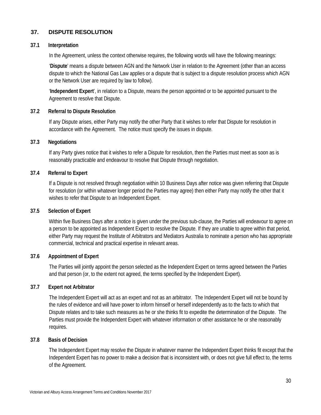## <span id="page-38-0"></span>**37. DISPUTE RESOLUTION**

#### <span id="page-38-1"></span>**37.1 Interpretation**

In the Agreement, unless the context otherwise requires, the following words will have the following meanings:

'**Dispute**' means a dispute between AGN and the Network User in relation to the Agreement (other than an access dispute to which the National Gas Law applies or a dispute that is subject to a dispute resolution process which AGN or the Network User are required by law to follow).

'**Independent Expert**', in relation to a Dispute, means the person appointed or to be appointed pursuant to the Agreement to resolve that Dispute.

## <span id="page-38-2"></span>**37.2 Referral to Dispute Resolution**

If any Dispute arises, either Party may notify the other Party that it wishes to refer that Dispute for resolution in accordance with the Agreement. The notice must specify the issues in dispute.

## <span id="page-38-3"></span>**37.3 Negotiations**

If any Party gives notice that it wishes to refer a Dispute for resolution, then the Parties must meet as soon as is reasonably practicable and endeavour to resolve that Dispute through negotiation.

## <span id="page-38-4"></span>**37.4 Referral to Expert**

If a Dispute is not resolved through negotiation within 10 Business Days after notice was given referring that Dispute for resolution (or within whatever longer period the Parties may agree) then either Party may notify the other that it wishes to refer that Dispute to an Independent Expert.

#### <span id="page-38-5"></span>**37.5 Selection of Expert**

Within five Business Days after a notice is given under the previous sub-clause, the Parties will endeavour to agree on a person to be appointed as Independent Expert to resolve the Dispute. If they are unable to agree within that period, either Party may request the Institute of Arbitrators and Mediators Australia to nominate a person who has appropriate commercial, technical and practical expertise in relevant areas.

## <span id="page-38-6"></span>**37.6 Appointment of Expert**

The Parties will jointly appoint the person selected as the Independent Expert on terms agreed between the Parties and that person (or, to the extent not agreed, the terms specified by the Independent Expert).

## <span id="page-38-7"></span>**37.7 Expert not Arbitrator**

The Independent Expert will act as an expert and not as an arbitrator. The Independent Expert will not be bound by the rules of evidence and will have power to inform himself or herself independently as to the facts to which that Dispute relates and to take such measures as he or she thinks fit to expedite the determination of the Dispute. The Parties must provide the Independent Expert with whatever information or other assistance he or she reasonably requires.

## <span id="page-38-8"></span>**37.8 Basis of Decision**

The Independent Expert may resolve the Dispute in whatever manner the Independent Expert thinks fit except that the Independent Expert has no power to make a decision that is inconsistent with, or does not give full effect to, the terms of the Agreement.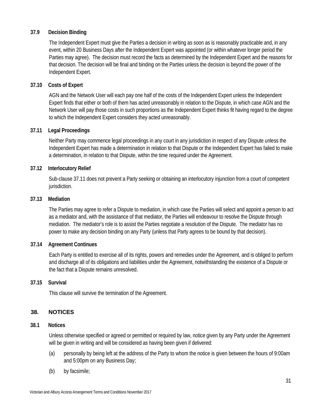## <span id="page-39-0"></span>**37.9 Decision Binding**

The Independent Expert must give the Parties a decision in writing as soon as is reasonably practicable and, in any event, within 20 Business Days after the Independent Expert was appointed (or within whatever longer period the Parties may agree). The decision must record the facts as determined by the Independent Expert and the reasons for that decision. The decision will be final and binding on the Parties unless the decision is beyond the power of the Independent Expert.

#### <span id="page-39-1"></span>**37.10 Costs of Expert**

AGN and the Network User will each pay one half of the costs of the Independent Expert unless the Independent Expert finds that either or both of them has acted unreasonably in relation to the Dispute, in which case AGN and the Network User will pay those costs in such proportions as the Independent Expert thinks fit having regard to the degree to which the Independent Expert considers they acted unreasonably.

## <span id="page-39-2"></span>**37.11 Legal Proceedings**

Neither Party may commence legal proceedings in any court in any jurisdiction in respect of any Dispute unless the Independent Expert has made a determination in relation to that Dispute or the Independent Expert has failed to make a determination, in relation to that Dispute, within the time required under the Agreement.

## <span id="page-39-3"></span>**37.12 Interlocutory Relief**

Sub-clause [37.11](#page-39-2) does not prevent a Party seeking or obtaining an interlocutory injunction from a court of competent jurisdiction.

#### <span id="page-39-4"></span>**37.13 Mediation**

The Parties may agree to refer a Dispute to mediation, in which case the Parties will select and appoint a person to act as a mediator and, with the assistance of that mediator, the Parties will endeavour to resolve the Dispute through mediation. The mediator's role is to assist the Parties negotiate a resolution of the Dispute. The mediator has no power to make any decision binding on any Party (unless that Party agrees to be bound by that decision).

#### <span id="page-39-5"></span>**37.14 Agreement Continues**

Each Party is entitled to exercise all of its rights, powers and remedies under the Agreement, and is obliged to perform and discharge all of its obligations and liabilities under the Agreement, notwithstanding the existence of a Dispute or the fact that a Dispute remains unresolved.

#### <span id="page-39-6"></span>**37.15 Survival**

This clause will survive the termination of the Agreement.

## <span id="page-39-8"></span><span id="page-39-7"></span>**38. NOTICES**

#### **38.1 Notices**

Unless otherwise specified or agreed or permitted or required by law, notice given by any Party under the Agreement will be given in writing and will be considered as having been given if delivered:

- (a) personally by being left at the address of the Party to whom the notice is given between the hours of 9:00am and 5:00pm on any Business Day;
- (b) by facsimile;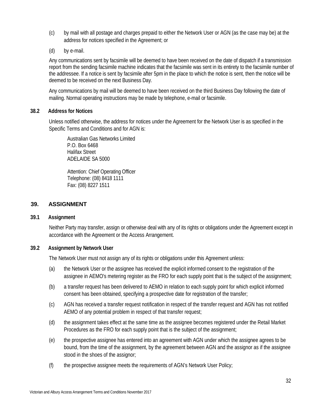- (c) by mail with all postage and charges prepaid to either the Network User or AGN (as the case may be) at the address for notices specified in the Agreement; or
- (d) by e-mail.

Any communications sent by facsimile will be deemed to have been received on the date of dispatch if a transmission report from the sending facsimile machine indicates that the facsimile was sent in its entirety to the facsimile number of the addressee. If a notice is sent by facsimile after 5pm in the place to which the notice is sent, then the notice will be deemed to be received on the next Business Day.

Any communications by mail will be deemed to have been received on the third Business Day following the date of mailing. Normal operating instructions may be made by telephone, e-mail or facsimile.

## <span id="page-40-0"></span>**38.2 Address for Notices**

Unless notified otherwise, the address for notices under the Agreement for the Network User is as specified in the Specific Terms and Conditions and for AGN is:

Australian Gas Networks Limited P.O. Box 6468 Halifax Street ADELAIDE SA 5000

Attention: Chief Operating Officer Telephone: (08) 8418 1111 Fax: (08) 8227 1511

## <span id="page-40-2"></span><span id="page-40-1"></span>**39. ASSIGNMENT**

## **39.1 Assignment**

Neither Party may transfer, assign or otherwise deal with any of its rights or obligations under the Agreement except in accordance with the Agreement or the Access Arrangement.

## <span id="page-40-3"></span>**39.2 Assignment by Network User**

The Network User must not assign any of its rights or obligations under this Agreement unless:

- (a) the Network User or the assignee has received the explicit informed consent to the registration of the assignee in AEMO's metering register as the FRO for each supply point that is the subject of the assignment;
- (b) a transfer request has been delivered to AEMO in relation to each supply point for which explicit informed consent has been obtained, specifying a prospective date for registration of the transfer;
- (c) AGN has received a transfer request notification in respect of the transfer request and AGN has not notified AEMO of any potential problem in respect of that transfer request;
- (d) the assignment takes effect at the same time as the assignee becomes registered under the Retail Market Procedures as the FRO for each supply point that is the subject of the assignment;
- (e) the prospective assignee has entered into an agreement with AGN under which the assignee agrees to be bound, from the time of the assignment, by the agreement between AGN and the assignor as if the assignee stood in the shoes of the assignor;
- (f) the prospective assignee meets the requirements of AGN's Network User Policy;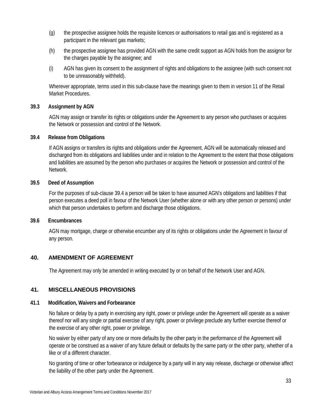- (g) the prospective assignee holds the requisite licences or authorisations to retail gas and is registered as a participant in the relevant gas markets;
- (h) the prospective assignee has provided AGN with the same credit support as AGN holds from the assignor for the charges payable by the assignee; and
- (i) AGN has given its consent to the assignment of rights and obligations to the assignee (with such consent not to be unreasonably withheld).

Wherever appropriate, terms used in this sub-clause have the meanings given to them in version 11 of the Retail Market Procedures.

## <span id="page-41-0"></span>**39.3 Assignment by AGN**

AGN may assign or transfer its rights or obligations under the Agreement to any person who purchases or acquires the Network or possession and control of the Network.

## <span id="page-41-1"></span>**39.4 Release from Obligations**

If AGN assigns or transfers its rights and obligations under the Agreement, AGN will be automatically released and discharged from its obligations and liabilities under and in relation to the Agreement to the extent that those obligations and liabilities are assumed by the person who purchases or acquires the Network or possession and control of the Network.

## <span id="page-41-2"></span>**39.5 Deed of Assumption**

For the purposes of sub-clause 39.4 a person will be taken to have assumed AGN's obligations and liabilities if that person executes a deed poll in favour of the Network User (whether alone or with any other person or persons) under which that person undertakes to perform and discharge those obligations.

#### <span id="page-41-3"></span>**39.6 Encumbrances**

AGN may mortgage, charge or otherwise encumber any of its rights or obligations under the Agreement in favour of any person.

## <span id="page-41-4"></span>**40. AMENDMENT OF AGREEMENT**

The Agreement may only be amended in writing executed by or on behalf of the Network User and AGN.

## <span id="page-41-6"></span><span id="page-41-5"></span>**41. MISCELLANEOUS PROVISIONS**

#### **41.1 Modification, Waivers and Forbearance**

No failure or delay by a party in exercising any right, power or privilege under the Agreement will operate as a waiver thereof nor will any single or partial exercise of any right, power or privilege preclude any further exercise thereof or the exercise of any other right, power or privilege.

No waiver by either party of any one or more defaults by the other party in the performance of the Agreement will operate or be construed as a waiver of any future default or defaults by the same party or the other party, whether of a like or of a different character.

No granting of time or other forbearance or indulgence by a party will in any way release, discharge or otherwise affect the liability of the other party under the Agreement.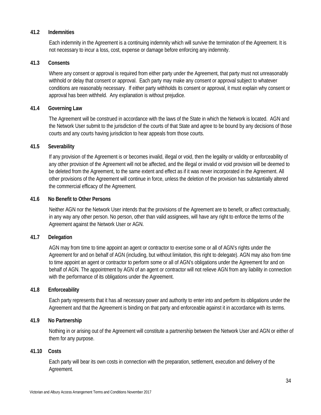#### <span id="page-42-0"></span>**41.2 Indemnities**

Each indemnity in the Agreement is a continuing indemnity which will survive the termination of the Agreement. It is not necessary to incur a loss, cost, expense or damage before enforcing any indemnity.

## <span id="page-42-1"></span>**41.3 Consents**

Where any consent or approval is required from either party under the Agreement, that party must not unreasonably withhold or delay that consent or approval. Each party may make any consent or approval subject to whatever conditions are reasonably necessary. If either party withholds its consent or approval, it must explain why consent or approval has been withheld. Any explanation is without prejudice.

## <span id="page-42-2"></span>**41.4 Governing Law**

The Agreement will be construed in accordance with the laws of the State in which the Network is located. AGN and the Network User submit to the jurisdiction of the courts of that State and agree to be bound by any decisions of those courts and any courts having jurisdiction to hear appeals from those courts.

## <span id="page-42-3"></span>**41.5 Severability**

If any provision of the Agreement is or becomes invalid, illegal or void, then the legality or validity or enforceability of any other provision of the Agreement will not be affected, and the illegal or invalid or void provision will be deemed to be deleted from the Agreement, to the same extent and effect as if it was never incorporated in the Agreement. All other provisions of the Agreement will continue in force, unless the deletion of the provision has substantially altered the commercial efficacy of the Agreement.

## <span id="page-42-4"></span>**41.6 No Benefit to Other Persons**

Neither AGN nor the Network User intends that the provisions of the Agreement are to benefit, or affect contractually, in any way any other person. No person, other than valid assignees, will have any right to enforce the terms of the Agreement against the Network User or AGN.

## <span id="page-42-5"></span>**41.7 Delegation**

AGN may from time to time appoint an agent or contractor to exercise some or all of AGN's rights under the Agreement for and on behalf of AGN (including, but without limitation, this right to delegate). AGN may also from time to time appoint an agent or contractor to perform some or all of AGN's obligations under the Agreement for and on behalf of AGN. The appointment by AGN of an agent or contractor will not relieve AGN from any liability in connection with the performance of its obligations under the Agreement.

#### <span id="page-42-6"></span>**41.8 Enforceability**

Each party represents that it has all necessary power and authority to enter into and perform its obligations under the Agreement and that the Agreement is binding on that party and enforceable against it in accordance with its terms.

## <span id="page-42-7"></span>**41.9 No Partnership**

Nothing in or arising out of the Agreement will constitute a partnership between the Network User and AGN or either of them for any purpose.

#### <span id="page-42-8"></span>**41.10 Costs**

Each party will bear its own costs in connection with the preparation, settlement, execution and delivery of the Agreement.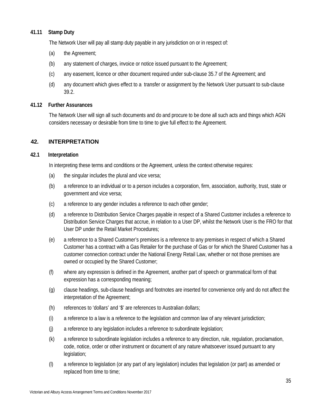## <span id="page-43-0"></span>**41.11 Stamp Duty**

The Network User will pay all stamp duty payable in any jurisdiction on or in respect of:

- (a) the Agreement;
- (b) any statement of charges, invoice or notice issued pursuant to the Agreement;
- (c) any easement, licence or other document required under sub-clause [35.7](#page-36-7) of the Agreement; and
- (d) any document which gives effect to a transfer or assignment by the Network User pursuant to sub-clause [39.2.](#page-40-3)

## <span id="page-43-1"></span>**41.12 Further Assurances**

The Network User will sign all such documents and do and procure to be done all such acts and things which AGN considers necessary or desirable from time to time to give full effect to the Agreement.

## <span id="page-43-3"></span><span id="page-43-2"></span>**42. INTERPRETATION**

#### **42.1 Interpretation**

In interpreting these terms and conditions or the Agreement, unless the context otherwise requires:

- (a) the singular includes the plural and vice versa;
- (b) a reference to an individual or to a person includes a corporation, firm, association, authority, trust, state or government and vice versa;
- (c) a reference to any gender includes a reference to each other gender;
- (d) a reference to Distribution Service Charges payable in respect of a Shared Customer includes a reference to Distribution Service Charges that accrue, in relation to a User DP, whilst the Network User is the FRO for that User DP under the Retail Market Procedures;
- (e) a reference to a Shared Customer's premises is a reference to any premises in respect of which a Shared Customer has a contract with a Gas Retailer for the purchase of Gas or for which the Shared Customer has a customer connection contract under the National Energy Retail Law, whether or not those premises are owned or occupied by the Shared Customer;
- (f) where any expression is defined in the Agreement, another part of speech or grammatical form of that expression has a corresponding meaning;
- (g) clause headings, sub-clause headings and footnotes are inserted for convenience only and do not affect the interpretation of the Agreement;
- (h) references to 'dollars' and '\$' are references to Australian dollars;
- (i) a reference to a law is a reference to the legislation and common law of any relevant jurisdiction;
- (j) a reference to any legislation includes a reference to subordinate legislation;
- (k) a reference to subordinate legislation includes a reference to any direction, rule, regulation, proclamation, code, notice, order or other instrument or document of any nature whatsoever issued pursuant to any legislation;
- (l) a reference to legislation (or any part of any legislation) includes that legislation (or part) as amended or replaced from time to time;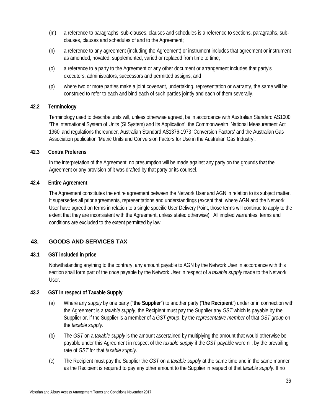- (m) a reference to paragraphs, sub-clauses, clauses and schedules is a reference to sections, paragraphs, subclauses, clauses and schedules of and to the Agreement;
- (n) a reference to any agreement (including the Agreement) or instrument includes that agreement or instrument as amended, novated, supplemented, varied or replaced from time to time;
- (o) a reference to a party to the Agreement or any other document or arrangement includes that party's executors, administrators, successors and permitted assigns; and
- (p) where two or more parties make a joint covenant, undertaking, representation or warranty, the same will be construed to refer to each and bind each of such parties jointly and each of them severally.

## <span id="page-44-0"></span>**42.2 Terminology**

Terminology used to describe units will, unless otherwise agreed, be in accordance with Australian Standard AS1000 'The International System of Units (SI System) and Its Application', the Commonwealth 'National Measurement Act 1960' and regulations thereunder, Australian Standard AS1376-1973 'Conversion Factors' and the Australian Gas Association publication 'Metric Units and Conversion Factors for Use in the Australian Gas Industry'.

## <span id="page-44-1"></span>**42.3 Contra Proferens**

In the interpretation of the Agreement, no presumption will be made against any party on the grounds that the Agreement or any provision of it was drafted by that party or its counsel.

## <span id="page-44-2"></span>**42.4 Entire Agreement**

The Agreement constitutes the entire agreement between the Network User and AGN in relation to its subject matter. It supersedes all prior agreements, representations and understandings (except that, where AGN and the Network User have agreed on terms in relation to a single specific User Delivery Point, those terms will continue to apply to the extent that they are inconsistent with the Agreement, unless stated otherwise). All implied warranties, terms and conditions are excluded to the extent permitted by law.

## <span id="page-44-3"></span>**43. GOODS AND SERVICES TAX**

## <span id="page-44-4"></span>**43.1 GST included in price**

Notwithstanding anything to the contrary, any amount payable to AGN by the Network User in accordance with this section shall form part of the *price* payable by the Network User in respect of a *taxable supply* made to the Network User.

## <span id="page-44-5"></span>**43.2 GST in respect of Taxable Supply**

- (a) Where any *supply* by one party ("**the Supplier**") to another party ("**the Recipient**") under or in connection with the Agreement is a *taxable supply*, the Recipient must pay the Supplier any *GST* which is payable by the Supplier or, if the Supplier is a member of a *GST group*, by the *representative member* of that *GST group* on the *taxable supply*.
- (b) The *GST* on a *taxable supply* is the amount ascertained by multiplying the amount that would otherwise be payable under this Agreement in respect of the *taxable supply* if the *GST* payable were nil, by the prevailing rate of *GST* for that *taxable supply*.
- (c) The Recipient must pay the Supplier the *GST* on a *taxable supply* at the same time and in the same manner as the Recipient is required to pay any other amount to the Supplier in respect of that *taxable supply*. If no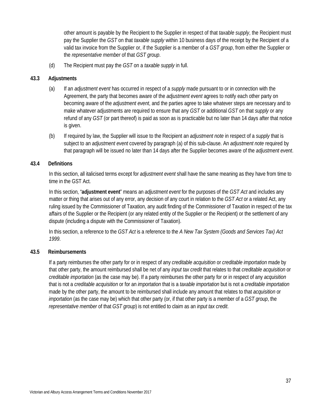other amount is payable by the Recipient to the Supplier in respect of that *taxable supply*, the Recipient must pay the Supplier the *GST* on that *taxable supply* within 10 business days of the receipt by the Recipient of a valid tax invoice from the Supplier or, if the Supplier is a member of a *GST group*, from either the Supplier or the *representative member* of that *GST group*.

(d) The Recipient must pay the *GST* on a *taxable supply* in full.

## <span id="page-45-0"></span>**43.3 Adjustments**

- (a) If an *adjustment event* has occurred in respect of a *supply* made pursuant to or in connection with the Agreement, the party that becomes aware of the *adjustment event* agrees to notify each other party on becoming aware of the *adjustment event*, and the parties agree to take whatever steps are necessary and to make whatever adjustments are required to ensure that any *GST* or additional *GST* on that *supply* or any refund of any *GST* (or part thereof) is paid as soon as is practicable but no later than 14 days after that notice is given.
- (b) If required by law, the Supplier will issue to the Recipient an *adjustment note* in respect of a *supply* that is subject to an *adjustment event* covered by paragraph (a) of this sub-clause. An *adjustment note* required by that paragraph will be issued no later than 14 days after the Supplier becomes aware of the *adjustment event*.

## <span id="page-45-1"></span>**43.4 Definitions**

In this section, all italicised terms except for *adjustment event* shall have the same meaning as they have from time to time in the GST Act.

In this section, "**adjustment event**" means an *adjustment event* for the purposes of the *GST Act* and includes any matter or thing that arises out of any error, any decision of any court in relation to the *GST Act* or a related Act, any ruling issued by the Commissioner of Taxation, any audit finding of the Commissioner of Taxation in respect of the tax affairs of the Supplier or the Recipient (or any related entity of the Supplier or the Recipient) or the settlement of any dispute (including a dispute with the Commissioner of Taxation).

In this section, a reference to the *GST Act* is a reference to the *A New Tax System (Goods and Services Tax) Act 1999*.

## <span id="page-45-2"></span>**43.5 Reimbursements**

If a party reimburses the other party for or in respect of any *creditable acquisition* or *creditable importation* made by that other party, the amount reimbursed shall be net of any *input tax credit* that relates to that *creditable acquisition* or *creditable importation* (as the case may be). If a party reimburses the other party for or in respect of any *acquisition* that is not a *creditable acquisition* or for an *importation* that is a *taxable importation* but is not a *creditable importation* made by the other party, the amount to be reimbursed shall include any amount that relates to that *acquisition* or *importation* (as the case may be) which that other party (or, if that other party is a member of a *GST group*, the *representative member* of that *GST group*) is not entitled to claim as an *input tax credit*.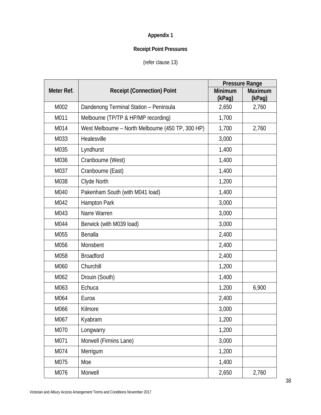## **Appendix 1**

## **Receipt Point Pressures**

(refer clause 13)

<span id="page-46-0"></span>

|                                                 |                                                   | <b>Pressure Range</b> |                   |  |
|-------------------------------------------------|---------------------------------------------------|-----------------------|-------------------|--|
| Meter Ref.<br><b>Receipt (Connection) Point</b> |                                                   | Minimum<br>(kPag)     | Maximum<br>(kPag) |  |
| M002                                            | Dandenong Terminal Station - Peninsula            | 2,650                 | 2,760             |  |
| M011                                            | Melbourne (TP/TP & HP/MP recording)               | 1,700                 |                   |  |
| M014                                            | West Melbourne - North Melbourne (450 TP, 300 HP) | 1,700                 | 2,760             |  |
| M033                                            | Healesville                                       | 3,000                 |                   |  |
| M035                                            | Lyndhurst                                         | 1,400                 |                   |  |
| M036                                            | Cranbourne (West)                                 | 1,400                 |                   |  |
| M037                                            | Cranbourne (East)                                 | 1,400                 |                   |  |
| M038                                            | Clyde North                                       | 1,200                 |                   |  |
| M040                                            | Pakenham South (with M041 load)                   | 1,400                 |                   |  |
| M042                                            | Hampton Park                                      | 3,000                 |                   |  |
| M043                                            | Narre Warren                                      | 3,000                 |                   |  |
| M044                                            | Berwick (with M039 load)                          | 3,000                 |                   |  |
| M055                                            | Benalla                                           | 2,400                 |                   |  |
| M056                                            | Monsbent                                          | 2,400                 |                   |  |
| M058                                            | <b>Broadford</b>                                  | 2,400                 |                   |  |
| M060                                            | Churchill                                         | 1,200                 |                   |  |
| M062                                            | Drouin (South)                                    | 1,400                 |                   |  |
| M063                                            | Echuca                                            | 1,200                 | 6,900             |  |
| M064                                            | Euroa                                             | 2,400                 |                   |  |
| M066                                            | Kilmore                                           | 3,000                 |                   |  |
| M067                                            | Kyabram                                           | 1,200                 |                   |  |
| M070                                            | Longwarry                                         | 1,200                 |                   |  |
| M071                                            | Morwell (Firmins Lane)                            | 3,000                 |                   |  |
| M074                                            | Merrigum                                          | 1,200                 |                   |  |
| M075                                            | Moe                                               | 1,400                 |                   |  |
| M076                                            | Morwell                                           | 2,650                 | 2,760             |  |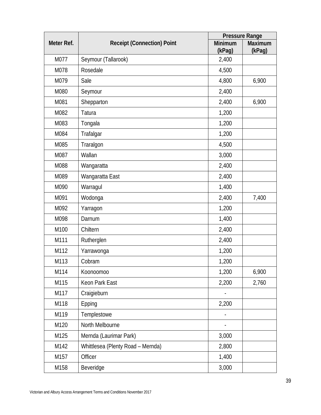| Meter Ref. | <b>Receipt (Connection) Point</b> | <b>Pressure Range</b> |         |  |
|------------|-----------------------------------|-----------------------|---------|--|
|            |                                   | Minimum               | Maximum |  |
| M077       | Seymour (Tallarook)               | (kPag)<br>2,400       | (kPag)  |  |
| M078       | Rosedale                          | 4,500                 |         |  |
| M079       | Sale                              | 4,800                 | 6,900   |  |
| M080       | Seymour                           | 2,400                 |         |  |
| M081       | Shepparton                        | 2,400                 | 6,900   |  |
| M082       | Tatura                            | 1,200                 |         |  |
| M083       | Tongala                           | 1,200                 |         |  |
| M084       | Trafalgar                         | 1,200                 |         |  |
| M085       | Traralgon                         | 4,500                 |         |  |
| M087       | Wallan                            | 3,000                 |         |  |
| M088       | Wangaratta                        | 2,400                 |         |  |
| M089       | Wangaratta East                   | 2,400                 |         |  |
| M090       | Warragul                          | 1,400                 |         |  |
| M091       | Wodonga                           | 2,400                 | 7,400   |  |
| M092       | Yarragon                          | 1,200                 |         |  |
| M098       | Darnum                            | 1,400                 |         |  |
| M100       | Chiltern                          | 2,400                 |         |  |
| M111       | Rutherglen                        | 2,400                 |         |  |
| M112       | Yarrawonga                        | 1,200                 |         |  |
| M113       | Cobram                            | 1,200                 |         |  |
| M114       | Koonoomoo                         | 1,200                 | 6,900   |  |
| M115       | Keon Park East                    | 2,200                 | 2,760   |  |
| M117       | Craigieburn                       |                       |         |  |
| M118       | Epping                            | 2,200                 |         |  |
| M119       | Templestowe                       |                       |         |  |
| M120       | North Melbourne                   |                       |         |  |
| M125       | Mernda (Laurimar Park)            | 3,000                 |         |  |
| M142       | Whittlesea (Plenty Road - Mernda) | 2,800                 |         |  |
| M157       | Officer                           | 1,400                 |         |  |
| M158       | Beveridge                         | 3,000                 |         |  |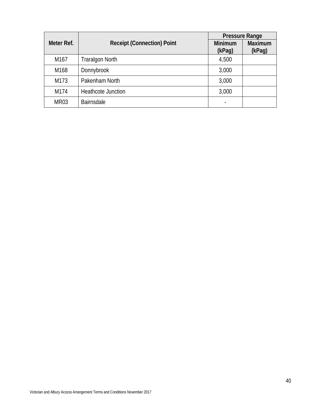|                  | <b>Receipt (Connection) Point</b> | <b>Pressure Range</b>    |                          |
|------------------|-----------------------------------|--------------------------|--------------------------|
| Meter Ref.       |                                   | <b>Minimum</b><br>(kPag) | <b>Maximum</b><br>(kPag) |
| M <sub>167</sub> | <b>Traralgon North</b>            | 4,500                    |                          |
| M168             | Donnybrook                        | 3,000                    |                          |
| M173             | Pakenham North                    | 3,000                    |                          |
| M174             | <b>Heathcote Junction</b>         | 3,000                    |                          |
| MR <sub>03</sub> | Bairnsdale                        |                          |                          |